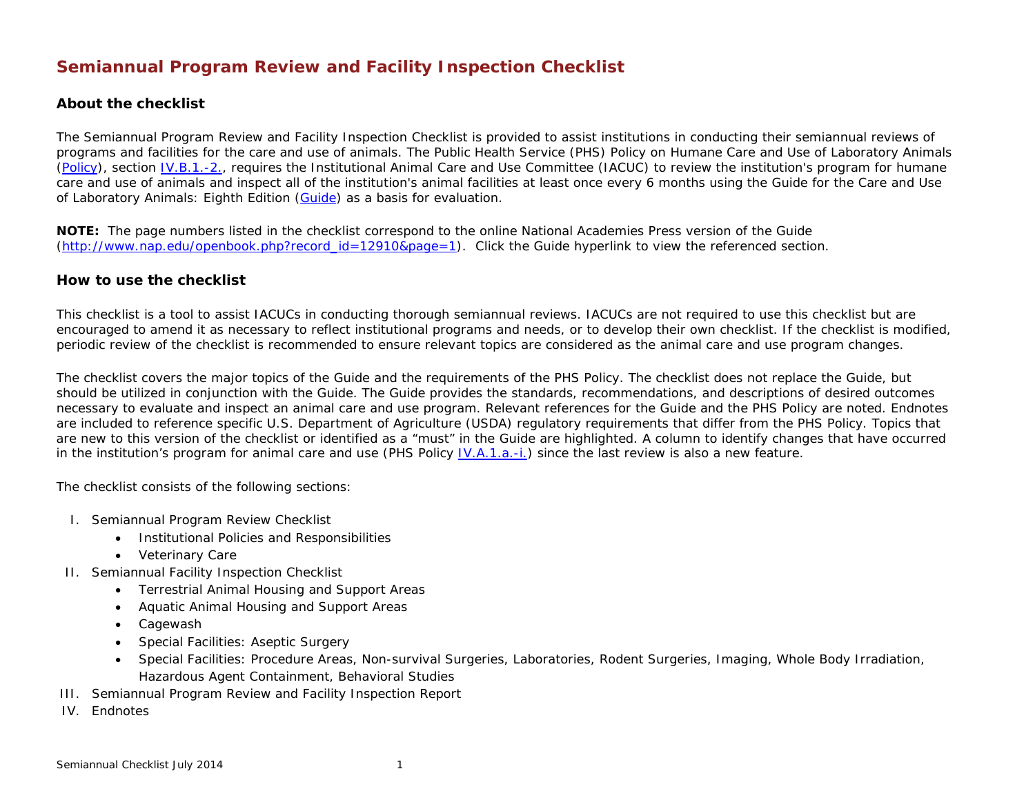# **Semiannual Program Review and Facility Inspection Checklist**

#### **About the checklist**

The Semiannual Program Review and Facility Inspection Checklist is provided to assist institutions in conducting their semiannual reviews of programs and facilities for the care and use of animals. The Public Health Service (PHS) Policy on Humane Care and Use of Laboratory Animals [\(Policy\)](http://grants.nih.gov/grants/olaw/references/phspol.htm), section [IV.B.1.-2.,](http://grants.nih.gov/grants/olaw/references/phspol.htm#FunctionsoftheInstitutionalAnimalCareandUseCommittee) requires the Institutional Animal Care and Use Committee (IACUC) to review the institution's program for humane care and use of animals and inspect all of the institution's animal facilities at least once every 6 months using the *Guide for the Care and Use of Laboratory Animals: Eighth Edition [\(Guide\)](http://www.nap.edu/catalog.php?record_id=12910)* as a basis for evaluation.

**NOTE:** The page numbers listed in the checklist correspond to the online National Academies Press version of the Guide [\(http://www.nap.edu/openbook.php?record\\_id=12910&page=1\)](http://www.nap.edu/openbook.php?record_id=12910&page=1). Click the Guide hyperlink to view the referenced section.

#### **How to use the checklist**

This checklist is a tool to assist IACUCs in conducting thorough semiannual reviews. IACUCs are not required to use this checklist but are encouraged to amend it as necessary to reflect institutional programs and needs, or to develop their own checklist. If the checklist is modified, periodic review of the checklist is recommended to ensure relevant topics are considered as the animal care and use program changes.

The checklist covers the major topics of the *Guide* and the requirements of the PHS Policy. The checklist does not replace the *Guide*, but should be utilized in conjunction with the *Guide.* The *Guide* provides the standards, recommendations, and descriptions of desired outcomes necessary to evaluate and inspect an animal care and use program. Relevant references for the *Guide* and the PHS Policy are noted. Endnotes are included to reference specific U.S. Department of Agriculture (USDA) regulatory requirements that differ from the PHS Policy. Topics that are new to this version of the checklist or identified as a "must" in the *Guide* are highlighted. A column to identify changes that have occurred in the institution's program for animal care and use (PHS Policy  $[V.A.1.a.-i]$ ) since the last review is also a new feature.

The checklist consists of the following sections:

- I. Semiannual Program Review Checklist
	- Institutional Policies and Responsibilities
	- Veterinary Care
- II. Semiannual Facility Inspection Checklist
	- Terrestrial Animal Housing and Support Areas
	- Aquatic Animal Housing and Support Areas
	- Cagewash
	- Special Facilities: Aseptic Surgery
	- Special Facilities: Procedure Areas, Non-survival Surgeries, Laboratories, Rodent Surgeries, Imaging, Whole Body Irradiation, Hazardous Agent Containment, Behavioral Studies
- III. Semiannual Program Review and Facility Inspection Report
- IV. Endnotes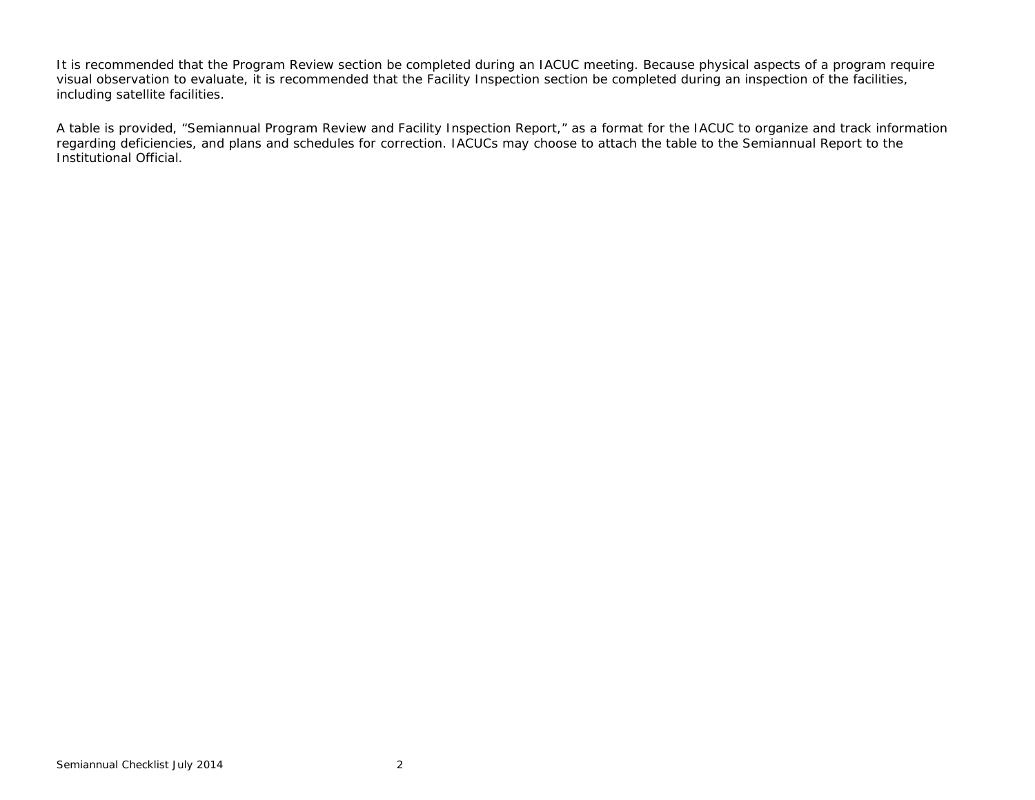It is recommended that the Program Review section be completed during an IACUC meeting. Because physical aspects of a program require visual observation to evaluate, it is recommended that the Facility Inspection section be completed during an inspection of the facilities, including satellite facilities.

A table is provided, "Semiannual Program Review and Facility Inspection Report," as a format for the IACUC to organize and track information regarding deficiencies, and plans and schedules for correction. IACUCs may choose to attach the table to the Semiannual Report to the Institutional Official.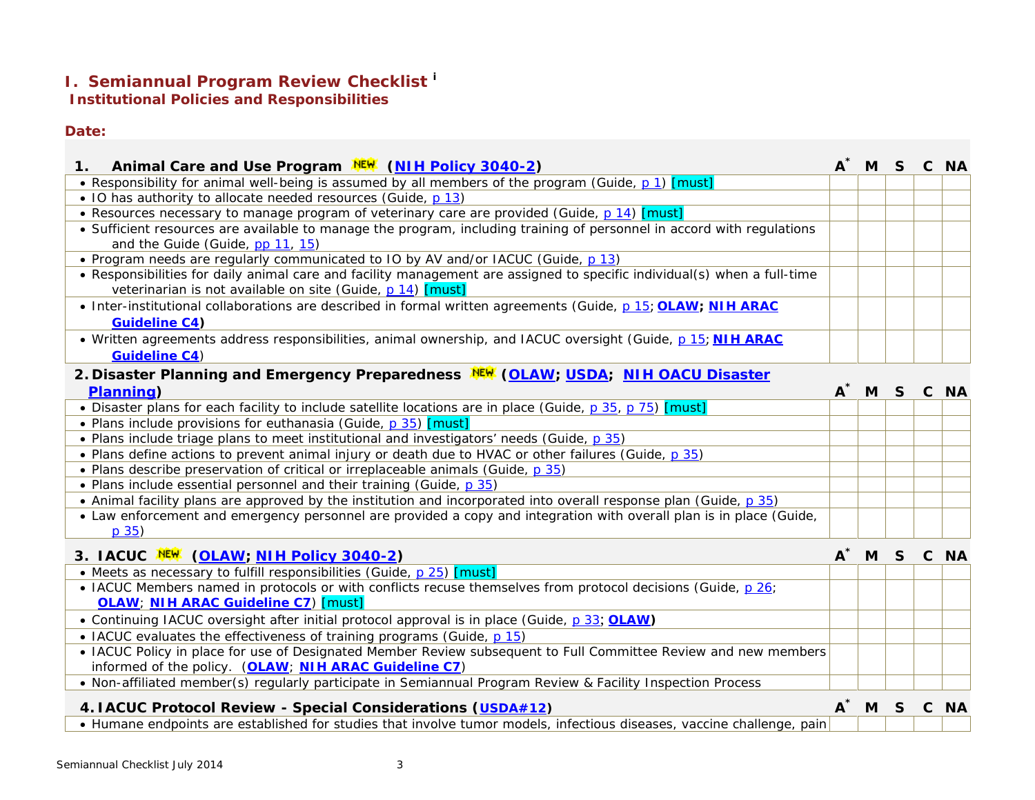## **I. Semiannual Program Review Checklist [i](#page-3-0)**

**Institutional Policies and Responsibilities**

### **Date:**

| Animal Care and Use Program NEW (NIH Policy 3040-2)<br>1.                                                                      |       | A <sup>*</sup> M S C NA |  |  |
|--------------------------------------------------------------------------------------------------------------------------------|-------|-------------------------|--|--|
| • Responsibility for animal well-being is assumed by all members of the program (Guide, p 1) [must]                            |       |                         |  |  |
| • IO has authority to allocate needed resources (Guide, p 13)                                                                  |       |                         |  |  |
| • Resources necessary to manage program of veterinary care are provided (Guide, p.14) [must]                                   |       |                         |  |  |
| • Sufficient resources are available to manage the program, including training of personnel in accord with regulations         |       |                         |  |  |
| and the Guide (Guide, pp 11, 15)                                                                                               |       |                         |  |  |
| • Program needs are regularly communicated to IO by AV and/or IACUC (Guide, p 13)                                              |       |                         |  |  |
| • Responsibilities for daily animal care and facility management are assigned to specific individual(s) when a full-time       |       |                         |  |  |
| veterinarian is not available on site (Guide, p 14) [must]                                                                     |       |                         |  |  |
| • Inter-institutional collaborations are described in formal written agreements (Guide, p 15; OLAW; NIH ARAC                   |       |                         |  |  |
| <b>Guideline C4)</b>                                                                                                           |       |                         |  |  |
| . Written agreements address responsibilities, animal ownership, and IACUC oversight (Guide, p 15; NIH ARAC                    |       |                         |  |  |
| <b>Guideline C4)</b>                                                                                                           |       |                         |  |  |
| 2. Disaster Planning and Emergency Preparedness NEW (OLAW; USDA; NIH OACU Disaster                                             |       |                         |  |  |
| <b>Planning</b> )                                                                                                              | $A^*$ | M S C NA                |  |  |
| • Disaster plans for each facility to include satellite locations are in place (Guide, p 35, p 75) [must]                      |       |                         |  |  |
| • Plans include provisions for euthanasia (Guide, p 35) [must]                                                                 |       |                         |  |  |
| . Plans include triage plans to meet institutional and investigators' needs (Guide, p 35)                                      |       |                         |  |  |
| . Plans define actions to prevent animal injury or death due to HVAC or other failures (Guide, p 35)                           |       |                         |  |  |
| • Plans describe preservation of critical or irreplaceable animals (Guide, p 35)                                               |       |                         |  |  |
| • Plans include essential personnel and their training (Guide, p 35)                                                           |       |                         |  |  |
| • Animal facility plans are approved by the institution and incorporated into overall response plan (Guide, p 35)              |       |                         |  |  |
| • Law enforcement and emergency personnel are provided a copy and integration with overall plan is in place (Guide,<br>$p$ 35) |       |                         |  |  |
| 3. IACUC NEW (OLAW; NIH Policy 3040-2)                                                                                         |       | A <sup>*</sup> M S C NA |  |  |
| • Meets as necessary to fulfill responsibilities (Guide, p 25) [must]                                                          |       |                         |  |  |
| • IACUC Members named in protocols or with conflicts recuse themselves from protocol decisions (Guide, p 26;                   |       |                         |  |  |
| <b>OLAW</b> : NIH ARAC Guideline C7) [must]                                                                                    |       |                         |  |  |
| • Continuing IACUC oversight after initial protocol approval is in place (Guide, p 33; OLAW)                                   |       |                         |  |  |
| • IACUC evaluates the effectiveness of training programs (Guide, p 15)                                                         |       |                         |  |  |
| • IACUC Policy in place for use of Designated Member Review subsequent to Full Committee Review and new members                |       |                         |  |  |
| informed of the policy. (OLAW; NIH ARAC Guideline C7)                                                                          |       |                         |  |  |
| • Non-affiliated member(s) regularly participate in Semiannual Program Review & Facility Inspection Process                    |       |                         |  |  |

| 4. IACUC Protocol Review - Special Considerations (USDA#12)                                                            |  |  | A <sup>*</sup> M S C NA |
|------------------------------------------------------------------------------------------------------------------------|--|--|-------------------------|
| • Humane endpoints are established for studies that involve tumor models, infectious diseases, vaccine challenge, pain |  |  |                         |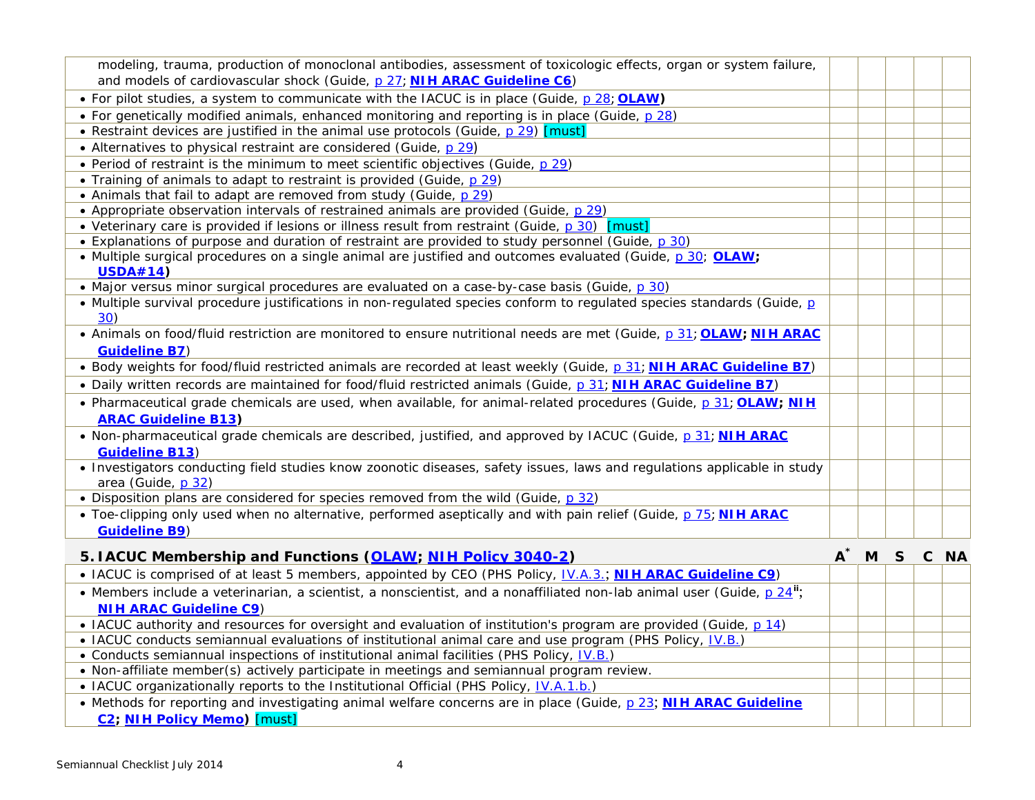<span id="page-3-1"></span><span id="page-3-0"></span>

| modeling, trauma, production of monoclonal antibodies, assessment of toxicologic effects, organ or system failure,                                     |       |          |  |
|--------------------------------------------------------------------------------------------------------------------------------------------------------|-------|----------|--|
| and models of cardiovascular shock (Guide, p 27; NIH ARAC Guideline C6)                                                                                |       |          |  |
| • For pilot studies, a system to communicate with the IACUC is in place (Guide, p 28; OLAW)                                                            |       |          |  |
| • For genetically modified animals, enhanced monitoring and reporting is in place (Guide, p 28)                                                        |       |          |  |
| • Restraint devices are justified in the animal use protocols (Guide, p 29) [must]                                                                     |       |          |  |
| • Alternatives to physical restraint are considered (Guide, p 29)                                                                                      |       |          |  |
| • Period of restraint is the minimum to meet scientific objectives (Guide, p 29)                                                                       |       |          |  |
| • Training of animals to adapt to restraint is provided (Guide, p 29)                                                                                  |       |          |  |
| • Animals that fail to adapt are removed from study (Guide, p 29)                                                                                      |       |          |  |
| • Appropriate observation intervals of restrained animals are provided (Guide, p 29)                                                                   |       |          |  |
| • Veterinary care is provided if lesions or illness result from restraint (Guide, p 30) [must]                                                         |       |          |  |
| • Explanations of purpose and duration of restraint are provided to study personnel (Guide, p 30)                                                      |       |          |  |
| • Multiple surgical procedures on a single animal are justified and outcomes evaluated (Guide, p 30; OLAW;                                             |       |          |  |
| <b>USDA#14)</b>                                                                                                                                        |       |          |  |
| • Major versus minor surgical procedures are evaluated on a case-by-case basis (Guide, p 30)                                                           |       |          |  |
| • Multiple survival procedure justifications in non-regulated species conform to regulated species standards (Guide, p<br>30)                          |       |          |  |
| • Animals on food/fluid restriction are monitored to ensure nutritional needs are met (Guide, p 31; OLAW; NIH ARAC                                     |       |          |  |
| <b>Guideline B7)</b>                                                                                                                                   |       |          |  |
| . Body weights for food/fluid restricted animals are recorded at least weekly (Guide, p 31; NIH ARAC Guideline B7)                                     |       |          |  |
| . Daily written records are maintained for food/fluid restricted animals (Guide, p 31; NIH ARAC Guideline B7)                                          |       |          |  |
| • Pharmaceutical grade chemicals are used, when available, for animal-related procedures (Guide, p 31; OLAW; NIH                                       |       |          |  |
| <b>ARAC Guideline B13)</b>                                                                                                                             |       |          |  |
| • Non-pharmaceutical grade chemicals are described, justified, and approved by IACUC (Guide, p 31; NIH ARAC<br><b>Guideline B13)</b>                   |       |          |  |
| • Investigators conducting field studies know zoonotic diseases, safety issues, laws and regulations applicable in study<br>area (Guide, p 32)         |       |          |  |
| • Disposition plans are considered for species removed from the wild (Guide, p 32)                                                                     |       |          |  |
| • Toe-clipping only used when no alternative, performed aseptically and with pain relief (Guide, p 75; NIH ARAC                                        |       |          |  |
| <b>Guideline B9)</b>                                                                                                                                   |       |          |  |
| 5. IACUC Membership and Functions (OLAW; NIH Policy 3040-2)                                                                                            | $A^*$ | M S C NA |  |
| • IACUC is comprised of at least 5 members, appointed by CEO (PHS Policy, IV.A.3.; NIH ARAC Guideline C9)                                              |       |          |  |
| • Members include a veterinarian, a scientist, a nonscientist, and a nonaffiliated non-lab animal user (Guide, p 24";<br><b>NIH ARAC Guideline C9)</b> |       |          |  |
| • IACUC authority and resources for oversight and evaluation of institution's program are provided (Guide, $p$ 14)                                     |       |          |  |
| • IACUC conducts semiannual evaluations of institutional animal care and use program (PHS Policy, IV.B.)                                               |       |          |  |
| • Conducts semiannual inspections of institutional animal facilities (PHS Policy, <i>IV.B.)</i>                                                        |       |          |  |
| . Non-affiliate member(s) actively participate in meetings and semiannual program review.                                                              |       |          |  |
| • IACUC organizationally reports to the Institutional Official (PHS Policy, <i>IV.A.1.b.)</i>                                                          |       |          |  |
|                                                                                                                                                        |       |          |  |

• Methods for reporting and investigating animal welfare concerns are in place (*Guide*, [p 23](http://www.nap.edu/openbook.php?record_id=12910&page=23); **[NIH ARAC Guideline](http://oacu.od.nih.gov/ARAC/documents/Complaint_Response.pdf)  [C2;](http://oacu.od.nih.gov/ARAC/documents/Complaint_Response.pdf) [NIH Policy Memo\)](http://oacu.od.nih.gov/ARAC/documents/Gottesman_Memo.pdf)** [must]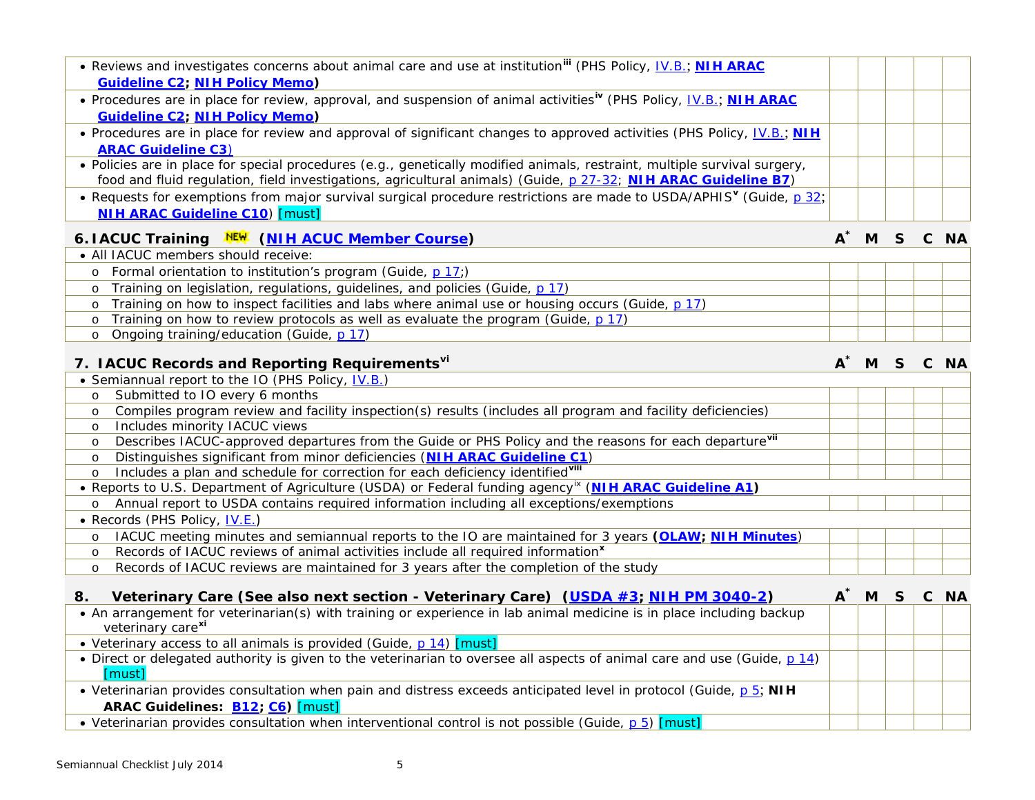<span id="page-4-8"></span><span id="page-4-5"></span><span id="page-4-4"></span><span id="page-4-3"></span><span id="page-4-2"></span><span id="page-4-1"></span><span id="page-4-0"></span>

| • Reviews and investigates concerns about animal care and use at institution" (PHS Policy, IV.B.; NIH ARAC<br><b>Guideline C2; NIH Policy Memo)</b>                                                                                         |  |  |  |
|---------------------------------------------------------------------------------------------------------------------------------------------------------------------------------------------------------------------------------------------|--|--|--|
| • Procedures are in place for review, approval, and suspension of animal activities <sup>iv</sup> (PHS Policy, <u>IV.B.; NIH ARAC</u><br><b>Guideline C2; NIH Policy Memo)</b>                                                              |  |  |  |
| • Procedures are in place for review and approval of significant changes to approved activities (PHS Policy, <i>IV.B.</i> ; <b>NIH</b><br><b>ARAC Guideline C3)</b>                                                                         |  |  |  |
| · Policies are in place for special procedures (e.g., genetically modified animals, restraint, multiple survival surgery,<br>food and fluid regulation, field investigations, agricultural animals) (Guide, p 27-32; NIH ARAC Guideline B7) |  |  |  |
| • Requests for exemptions from major survival surgical procedure restrictions are made to USDA/APHIS <sup>V</sup> (Guide, p 32;<br><b>NIH ARAC Guideline C10) [must]</b>                                                                    |  |  |  |

### **6. IACUC Training [\(NIH ACUC Member Course\)](https://federation.nih.gov/oacu/trgc.php) A\* M S C NA**

| • All IACUC members should receive:                                                               |  |  |  |
|---------------------------------------------------------------------------------------------------|--|--|--|
| o Formal orientation to institution's program (Guide, p 17;)                                      |  |  |  |
| Training on legislation, regulations, guidelines, and policies (Guide, p 17)                      |  |  |  |
| o Training on how to inspect facilities and labs where animal use or housing occurs (Guide, p 17) |  |  |  |
| o Training on how to review protocols as well as evaluate the program (Guide, $p 17$ )            |  |  |  |
| Ongoing training/education (Guide, p 17)                                                          |  |  |  |

# **7. IACUC Records and Reporting Requirements[vi](#page-4-3) A\* M S C NA**

|         | • Semiannual report to the IO (PHS Policy, IV.B.)                                                                  |  |  |
|---------|--------------------------------------------------------------------------------------------------------------------|--|--|
| $\circ$ | Submitted to IO every 6 months                                                                                     |  |  |
| $\circ$ | Compiles program review and facility inspection(s) results (includes all program and facility deficiencies)        |  |  |
| $\circ$ | Includes minority IACUC views                                                                                      |  |  |
| $\circ$ | Describes IACUC-approved departures from the Guide or PHS Policy and the reasons for each departure <sup>vii</sup> |  |  |
| $\circ$ | Distinguishes significant from minor deficiencies (NIH ARAC Guideline C1)                                          |  |  |
| $\circ$ | Includes a plan and schedule for correction for each deficiency identifiedvill                                     |  |  |
|         | • Reports to U.S. Department of Agriculture (USDA) or Federal funding agency <sup>ix</sup> (NIH ARAC Guideline A1) |  |  |
| $\circ$ | Annual report to USDA contains required information including all exceptions/exemptions                            |  |  |
|         | • Records (PHS Policy, <u>IV.E.)</u>                                                                               |  |  |
| $\circ$ | IACUC meeting minutes and semiannual reports to the IO are maintained for 3 years (OLAW; NIH Minutes)              |  |  |
| $\circ$ | Records of IACUC reviews of animal activities include all required information <sup>x</sup>                        |  |  |
| $\circ$ | Records of IACUC reviews are maintained for 3 years after the completion of the study                              |  |  |

# **8. Veterinary Care (See also next section - Veterinary Care) [\(USDA #3;](http://www.aphis.usda.gov/animal_welfare/policy.php?policy=3) [NIH PM 3040-2\)](http://oma.od.nih.gov/manualchapters/intramural/3040-2/) A\* M S C NA**

| • An arrangement for veterinarian(s) with training or experience in lab animal medicine is in place including backup     |  |  |
|--------------------------------------------------------------------------------------------------------------------------|--|--|
| veterinary care <sup>xi</sup>                                                                                            |  |  |
| • Veterinary access to all animals is provided (Guide, p 14) [must]                                                      |  |  |
| • Direct or delegated authority is given to the veterinarian to oversee all aspects of animal care and use (Guide, p 14) |  |  |
| [must]                                                                                                                   |  |  |
| • Veterinarian provides consultation when pain and distress exceeds anticipated level in protocol (Guide, $p 5$ ; NIH    |  |  |
| ARAC Guidelines: <b>B12; C6)</b> [must]                                                                                  |  |  |
| • Veterinarian provides consultation when interventional control is not possible (Guide, p 5) [must]                     |  |  |

<span id="page-4-7"></span><span id="page-4-6"></span>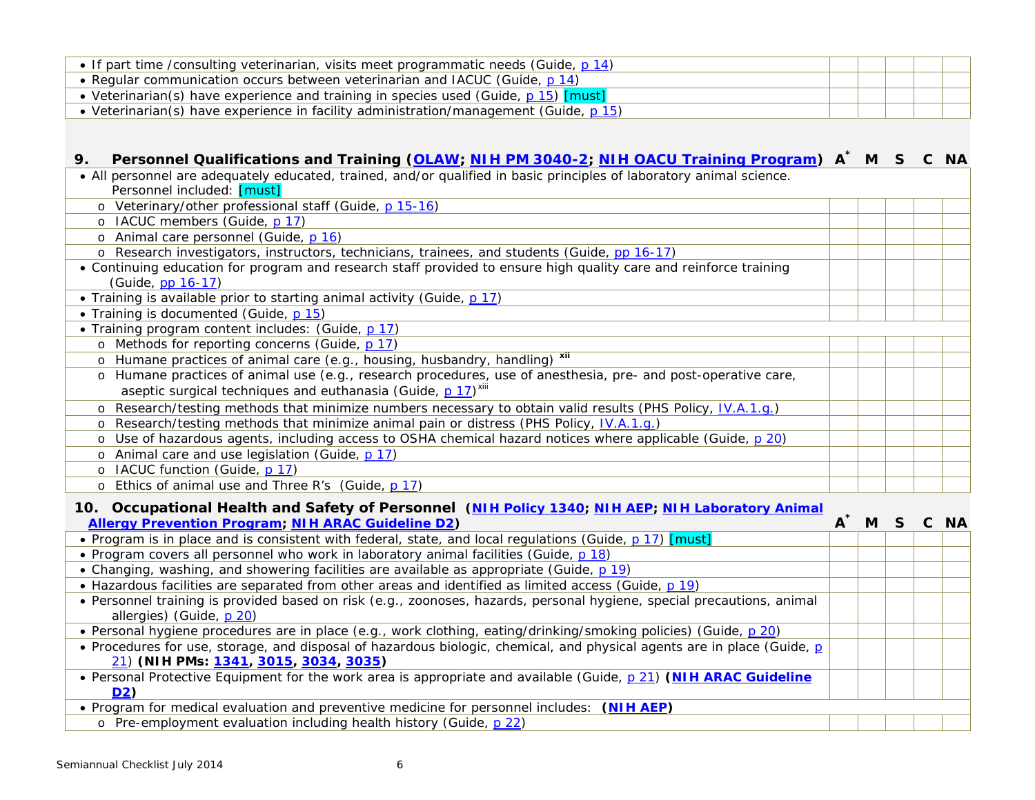<span id="page-5-2"></span><span id="page-5-1"></span><span id="page-5-0"></span>

| • If part time /consulting veterinarian, visits meet programmatic needs (Guide, p 14) |  |  |
|---------------------------------------------------------------------------------------|--|--|
| • Regular communication occurs between veterinarian and IACUC (Guide, p 14)           |  |  |
| • Veterinarian(s) have experience and training in species used (Guide, p 15) [must]   |  |  |
| • Veterinarian(s) have experience in facility administration/management (Guide, p 15) |  |  |

# **9. Personnel Qualifications and Training [\(OLAW;](http://grants.nih.gov/grants/olaw/institutional_responsibilities.htm#trainingofstaff) [NIH PM 3040-2;](http://oma.od.nih.gov/manualchapters/intramural/3040-2/) [NIH OACU Training Program\)](https://federation.nih.gov/oacu/index.php) A\* M S C NA**

| • All personnel are adequately educated, trained, and/or qualified in basic principles of laboratory animal science. |  |
|----------------------------------------------------------------------------------------------------------------------|--|
| Personnel included: [must]                                                                                           |  |
| o Veterinary/other professional staff (Guide, p 15-16)                                                               |  |
| o IACUC members (Guide, p 17)                                                                                        |  |
| o Animal care personnel (Guide, p 16)                                                                                |  |
| o Research investigators, instructors, technicians, trainees, and students (Guide, pp 16-17)                         |  |
| • Continuing education for program and research staff provided to ensure high quality care and reinforce training    |  |
| (Guide, pp 16-17)                                                                                                    |  |
| • Training is available prior to starting animal activity (Guide, p 17)                                              |  |
| • Training is documented (Guide, p 15)                                                                               |  |
| • Training program content includes: (Guide, p 17)                                                                   |  |
| o Methods for reporting concerns (Guide, p 17)                                                                       |  |
| o Humane practices of animal care (e.g., housing, husbandry, handling) xii                                           |  |
| o Humane practices of animal use (e.g., research procedures, use of anesthesia, pre- and post-operative care,        |  |
| aseptic surgical techniques and euthanasia (Guide, p 17) <sup>xiii</sup>                                             |  |
| o Research/testing methods that minimize numbers necessary to obtain valid results (PHS Policy, <i>IV.A.1.g.)</i>    |  |
| o Research/testing methods that minimize animal pain or distress (PHS Policy, IV.A.1.g.)                             |  |
| o Use of hazardous agents, including access to OSHA chemical hazard notices where applicable (Guide, p 20)           |  |
| o Animal care and use legislation (Guide, p 17)                                                                      |  |
| o IACUC function (Guide, p 17)                                                                                       |  |
| o Ethics of animal use and Three R's (Guide, p 17)                                                                   |  |

#### **10. Occupational Health and Safety of Personnel [\(NIH Policy 1340;](http://oma.od.nih.gov/manualchapters/management/1340/) [NIH AEP;](http://www.ors.od.nih.gov/sr/dohs/Documents/IV.2%20Animal%20Exposure%20Program.pdf) [NIH Laboratory Animal](http://www.ors.od.nih.gov/sr/dohs/Documents/LAAPP.pdf)  [Allergy Prevention Program;](http://www.ors.od.nih.gov/sr/dohs/Documents/LAAPP.pdf) [NIH ARAC Guideline D2\)](http://oacu.od.nih.gov/ARAC/documents/PPE.pdf) A\* M S C NA**

| Allergy Prevention Program, NTH ARAC Guideline DZ)                                                                      | A IVI J |  | <b>U</b> IVA |
|-------------------------------------------------------------------------------------------------------------------------|---------|--|--------------|
| • Program is in place and is consistent with federal, state, and local regulations (Guide, p. 17) [must]                |         |  |              |
| . Program covers all personnel who work in laboratory animal facilities (Guide, p 18)                                   |         |  |              |
| • Changing, washing, and showering facilities are available as appropriate (Guide, p 19)                                |         |  |              |
| • Hazardous facilities are separated from other areas and identified as limited access (Guide, p 19)                    |         |  |              |
| • Personnel training is provided based on risk (e.g., zoonoses, hazards, personal hygiene, special precautions, animal  |         |  |              |
| allergies) (Guide, p 20)                                                                                                |         |  |              |
| • Personal hygiene procedures are in place (e.g., work clothing, eating/drinking/smoking policies) (Guide, p 20)        |         |  |              |
| • Procedures for use, storage, and disposal of hazardous biologic, chemical, and physical agents are in place (Guide, p |         |  |              |
| 21) (NIH PMs: 1341, 3015, 3034, 3035)                                                                                   |         |  |              |
| • Personal Protective Equipment for the work area is appropriate and available (Guide, p 21) (NIH ARAC Guideline        |         |  |              |
| D <sub>2</sub> )                                                                                                        |         |  |              |
| • Program for medical evaluation and preventive medicine for personnel includes: (NIH AEP)                              |         |  |              |
| o Pre-employment evaluation including health history (Guide, p 22)                                                      |         |  |              |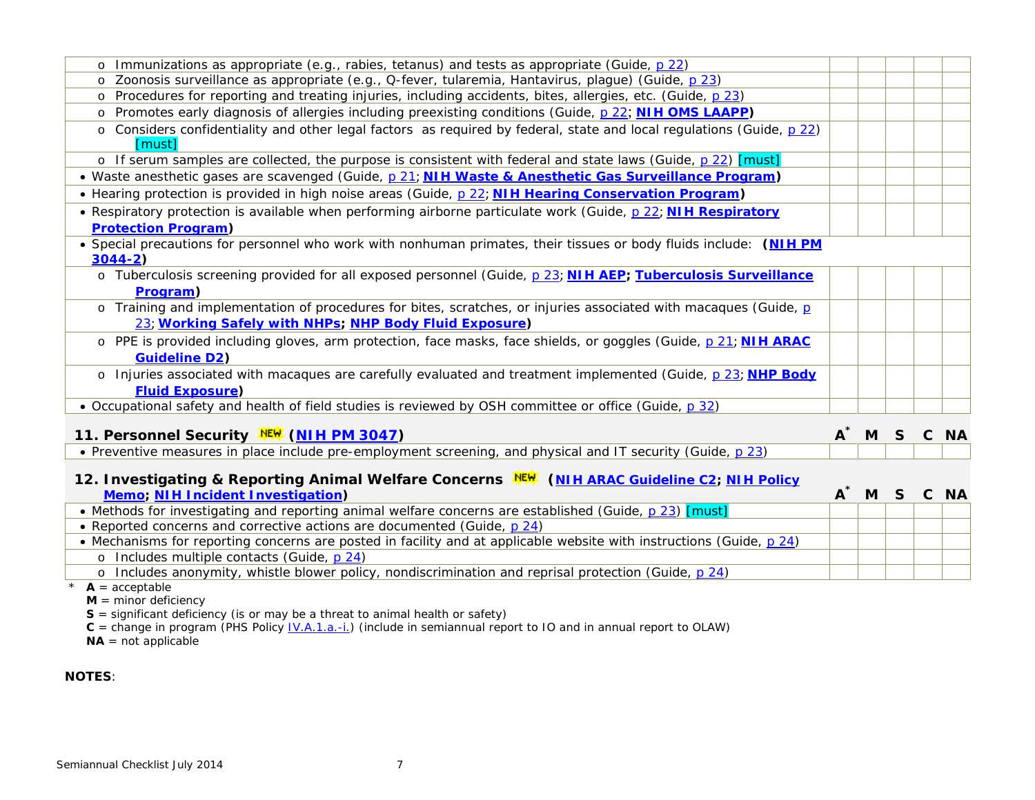<span id="page-6-1"></span><span id="page-6-0"></span>

| o Immunizations as appropriate (e.g., rabies, tetanus) and tests as appropriate (Guide, p 22)                                                                              |                   |    |           |
|----------------------------------------------------------------------------------------------------------------------------------------------------------------------------|-------------------|----|-----------|
| o Zoonosis surveillance as appropriate (e.g., Q-fever, tularemia, Hantavirus, plague) (Guide, p 23)                                                                        |                   |    |           |
| o Procedures for reporting and treating injuries, including accidents, bites, allergies, etc. (Guide, p 23)                                                                |                   |    |           |
| o Promotes early diagnosis of allergies including preexisting conditions (Guide, p 22; NIH OMS LAAPP)                                                                      |                   |    |           |
| o Considers confidentiality and other legal factors as required by federal, state and local regulations (Guide, p 22)<br>[must]                                            |                   |    |           |
| o If serum samples are collected, the purpose is consistent with federal and state laws (Guide, p 22) [must]                                                               |                   |    |           |
| · Waste anesthetic gases are scavenged (Guide, p 21; NIH Waste & Anesthetic Gas Surveillance Program)                                                                      |                   |    |           |
| • Hearing protection is provided in high noise areas (Guide, p 22; NIH Hearing Conservation Program)                                                                       |                   |    |           |
| • Respiratory protection is available when performing airborne particulate work (Guide, p 22; NIH Respiratory                                                              |                   |    |           |
| <b>Protection Program)</b>                                                                                                                                                 |                   |    |           |
| • Special precautions for personnel who work with nonhuman primates, their tissues or body fluids include: (NIH PM<br>$3044 - 2)$                                          |                   |    |           |
| o Tuberculosis screening provided for all exposed personnel (Guide, p 23; NIH AEP; Tuberculosis Surveillance                                                               |                   |    |           |
| Program)                                                                                                                                                                   |                   |    |           |
| o Training and implementation of procedures for bites, scratches, or injuries associated with macaques (Guide, p<br>23; Working Safely with NHPs; NHP Body Fluid Exposure) |                   |    |           |
| o PPE is provided including gloves, arm protection, face masks, face shields, or goggles (Guide, p 21; NIH ARAC<br><b>Guideline D2)</b>                                    |                   |    |           |
| o Injuries associated with macaques are carefully evaluated and treatment implemented (Guide, p 23; NHP Body<br><b>Fluid Exposure)</b>                                     |                   |    |           |
| • Occupational safety and health of field studies is reviewed by OSH committee or office (Guide, p 32)                                                                     |                   |    |           |
| 11. Personnel Security NEW (NIH PM 3047)                                                                                                                                   | $A^{\dagger}$ M S | C. | <b>NA</b> |
| • Preventive measures in place include pre-employment screening, and physical and IT security (Guide, p 23)                                                                |                   |    |           |
|                                                                                                                                                                            |                   |    |           |

#### **12. Investigating & Reporting Animal Welfare Concerns [\(NIH ARAC Guideline C2;](http://oacu.od.nih.gov/ARAC/documents/Complaint_Response.pdf) [NIH Policy](http://oacu.od.nih.gov/ARAC/documents/Gottesman_Memo.pdf)  [Memo;](http://oacu.od.nih.gov/ARAC/documents/Gottesman_Memo.pdf) [NIH Incident Investigation\)](http://oacu.od.nih.gov/UsefulResources/Incident_Checklist.pdf) A\* M S C NA**

| <b>NUCLUS INTERNATIONAL PROGRAMMENT</b>                                                                              | . | V IVA |  |
|----------------------------------------------------------------------------------------------------------------------|---|-------|--|
| • Methods for investigating and reporting animal welfare concerns are established (Guide, p 23) [must]               |   |       |  |
| • Reported concerns and corrective actions are documented (Guide, p 24)                                              |   |       |  |
| • Mechanisms for reporting concerns are posted in facility and at applicable website with instructions (Guide, p 24) |   |       |  |
| o Includes multiple contacts (Guide, p 24)                                                                           |   |       |  |
| Includes anonymity, whistle blower policy, nondiscrimination and reprisal protection (Guide, p 24)                   |   |       |  |

 $*$  **A** = acceptable

 $M =$  minor deficiency

**S** = significant deficiency (is or may be a threat to animal health or safety)

**C** = change in program (PHS Policy <u>IV.A.1.a.-i.</u>) (include in semiannual report to IO and in annual report to OLAW)

**NA** = not applicable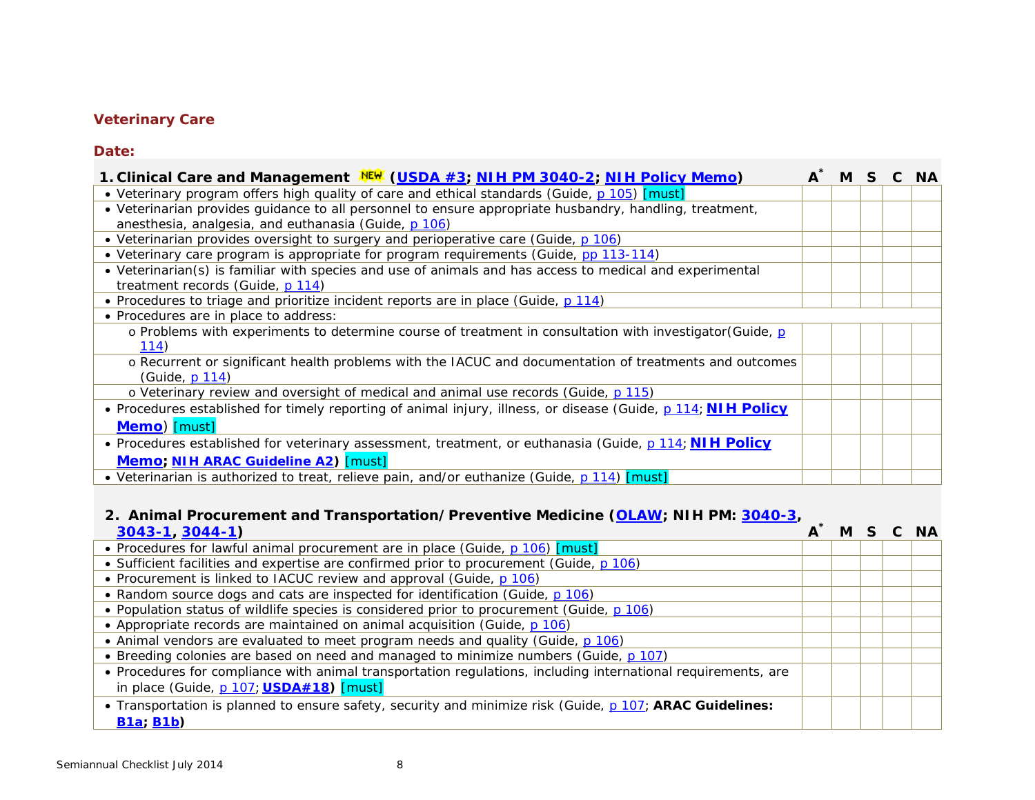# <span id="page-7-0"></span>**Veterinary Care**

#### **Date:**

| 1. Clinical Care and Management NEW (USDA #3; NIH PM 3040-2; NIH Policy Memo)                                                                                   | $A^{\tilde{}}$ | M S C NA |  |  |
|-----------------------------------------------------------------------------------------------------------------------------------------------------------------|----------------|----------|--|--|
| • Veterinary program offers high quality of care and ethical standards (Guide, p 105) [must]                                                                    |                |          |  |  |
| • Veterinarian provides guidance to all personnel to ensure appropriate husbandry, handling, treatment,<br>anesthesia, analgesia, and euthanasia (Guide, p 106) |                |          |  |  |
| • Veterinarian provides oversight to surgery and perioperative care (Guide, p 106)                                                                              |                |          |  |  |
| • Veterinary care program is appropriate for program requirements (Guide, pp 113-114)                                                                           |                |          |  |  |
| • Veterinarian(s) is familiar with species and use of animals and has access to medical and experimental<br>treatment records (Guide, p 114)                    |                |          |  |  |
| • Procedures to triage and prioritize incident reports are in place (Guide, p 114)                                                                              |                |          |  |  |
| • Procedures are in place to address:                                                                                                                           |                |          |  |  |
| o Problems with experiments to determine course of treatment in consultation with investigator (Guide, p<br>114)                                                |                |          |  |  |
| o Recurrent or significant health problems with the IACUC and documentation of treatments and outcomes<br>(Guide, p 114)                                        |                |          |  |  |
| o Veterinary review and oversight of medical and animal use records (Guide, p 115)                                                                              |                |          |  |  |
| • Procedures established for timely reporting of animal injury, illness, or disease (Guide, p 114; NIH Policy                                                   |                |          |  |  |
| Memo) [must]                                                                                                                                                    |                |          |  |  |
| • Procedures established for veterinary assessment, treatment, or euthanasia (Guide, p 114; NIH Policy                                                          |                |          |  |  |
| Memo; NIH ARAC Guideline A2) [must]                                                                                                                             |                |          |  |  |
| • Veterinarian is authorized to treat, relieve pain, and/or euthanize (Guide, p 114) [must]                                                                     |                |          |  |  |

## **2. Animal Procurement and Transportation/Preventive Medicine [\(OLAW;](http://grants.nih.gov/grants/olaw/animal_use.htm#shipping) NIH PM: [3040-3,](http://oma.od.nih.gov/manualchapters/intramural/3040-3/)**

| $3043 - 1$ , $3044 - 1$                                                                                       | M |  | C NA |
|---------------------------------------------------------------------------------------------------------------|---|--|------|
| • Procedures for lawful animal procurement are in place (Guide, p 106) [must]                                 |   |  |      |
| • Sufficient facilities and expertise are confirmed prior to procurement (Guide, p 106)                       |   |  |      |
| • Procurement is linked to IACUC review and approval (Guide, p 106)                                           |   |  |      |
| • Random source dogs and cats are inspected for identification (Guide, p 106)                                 |   |  |      |
| • Population status of wildlife species is considered prior to procurement (Guide, p 106)                     |   |  |      |
| • Appropriate records are maintained on animal acquisition (Guide, p 106)                                     |   |  |      |
| • Animal vendors are evaluated to meet program needs and quality (Guide, p 106)                               |   |  |      |
| • Breeding colonies are based on need and managed to minimize numbers (Guide, p 107)                          |   |  |      |
| • Procedures for compliance with animal transportation regulations, including international requirements, are |   |  |      |
| in place (Guide, p 107; USDA#18) [must]                                                                       |   |  |      |
| • Transportation is planned to ensure safety, security and minimize risk (Guide, p 107; ARAC Guidelines:      |   |  |      |
| B1a; B1b)                                                                                                     |   |  |      |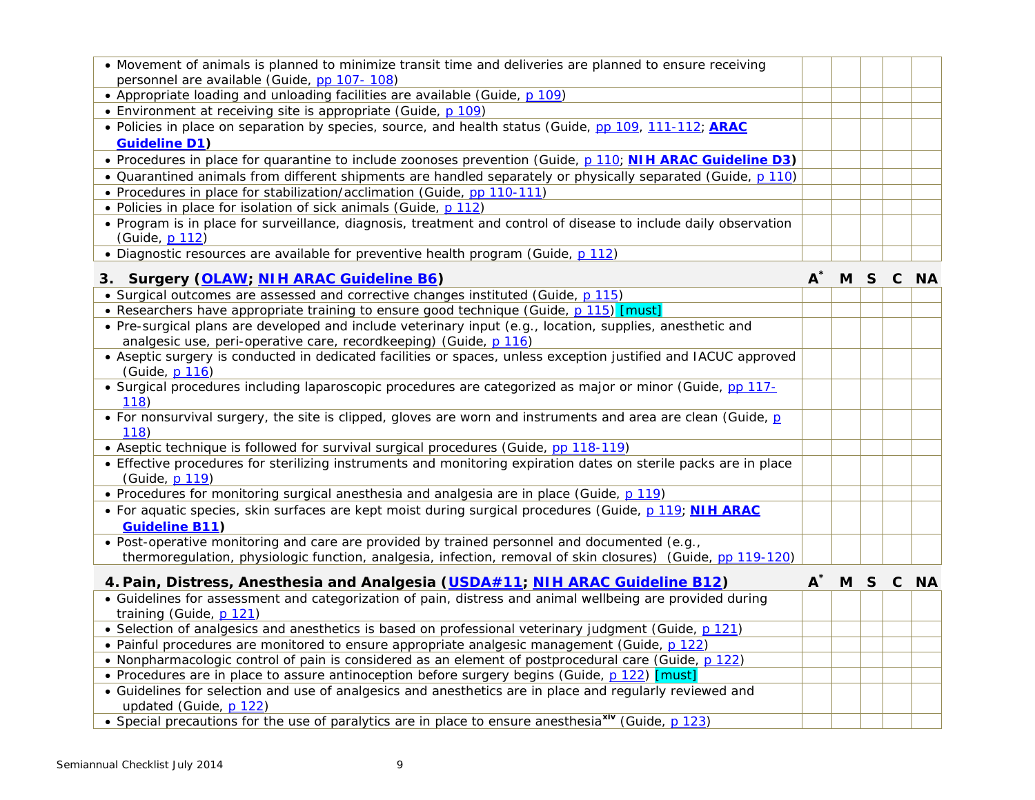| $A^*$ |  | M S C NA |
|-------|--|----------|
|       |  |          |
|       |  |          |
|       |  |          |
|       |  |          |
|       |  |          |
|       |  |          |
|       |  |          |
|       |  |          |
|       |  |          |
|       |  |          |
|       |  |          |
|       |  |          |
|       |  |          |
|       |  |          |
| $A^*$ |  | M S C NA |
|       |  |          |
|       |  |          |
|       |  |          |
|       |  |          |
|       |  |          |
|       |  |          |
|       |  |          |
|       |  |          |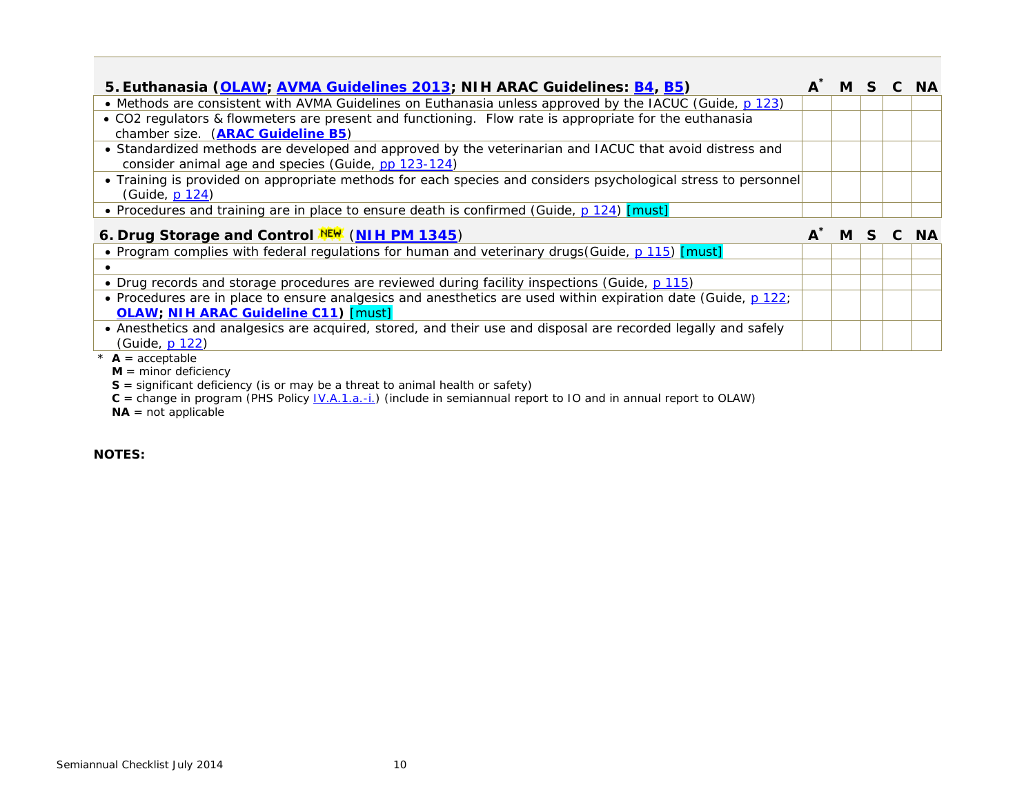| 5. Euthanasia (OLAW; AVMA Guidelines 2013; NIH ARAC Guidelines: B4, B5)                                                 | $A^{\dagger}$ M | S. | C NA |
|-------------------------------------------------------------------------------------------------------------------------|-----------------|----|------|
| • Methods are consistent with AVMA Guidelines on Euthanasia unless approved by the IACUC (Guide, p 123)                 |                 |    |      |
| • CO2 regulators & flowmeters are present and functioning. Flow rate is appropriate for the euthanasia                  |                 |    |      |
| chamber size. (ARAC Guideline B5)                                                                                       |                 |    |      |
| • Standardized methods are developed and approved by the veterinarian and IACUC that avoid distress and                 |                 |    |      |
| consider animal age and species (Guide, pp 123-124)                                                                     |                 |    |      |
| • Training is provided on appropriate methods for each species and considers psychological stress to personnel          |                 |    |      |
| (Guide, p 124)                                                                                                          |                 |    |      |
| • Procedures and training are in place to ensure death is confirmed (Guide, p 124) [must]                               |                 |    |      |
| 6. Drug Storage and Control NEW (NIH PM 1345)                                                                           | M               |    | C NA |
| <b>Description of the Contract Contract Constitution</b> Constitution and interface in the construction of the Constitu |                 |    |      |

| • Program complies with federal regulations for human and veterinary drugs (Guide, p 115) [must]                                                             |  |  |  |
|--------------------------------------------------------------------------------------------------------------------------------------------------------------|--|--|--|
|                                                                                                                                                              |  |  |  |
| • Drug records and storage procedures are reviewed during facility inspections (Guide, p 115)                                                                |  |  |  |
| • Procedures are in place to ensure analgesics and anesthetics are used within expiration date (Guide, p 122;<br><b>OLAW; NIH ARAC Guideline C11) [must]</b> |  |  |  |
| • Anesthetics and analgesics are acquired, stored, and their use and disposal are recorded legally and safely<br>(Guide, p 122)                              |  |  |  |

 $\overline{\mathbf{A}} = \text{acceptable}$ 

**M** = minor deficiency

**S** = significant deficiency (is or may be a threat to animal health or safety)

**C** = change in program (PHS Policy [IV.A.1.a.-i.\)](http://grants.nih.gov/grants/olaw/references/phspol.htm#AnimalWelfareAssurance) (include in semiannual report to IO and in annual report to OLAW)

**NA** = not applicable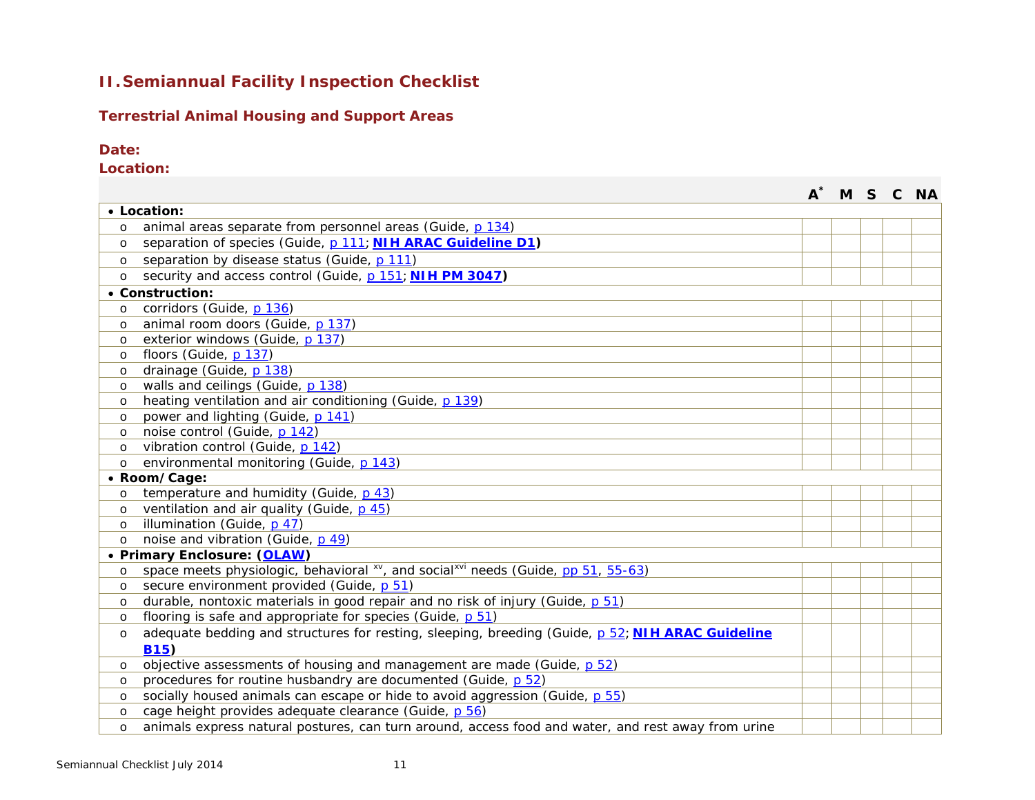# **II.Semiannual Facility Inspection Checklist**

### **Terrestrial Animal Housing and Support Areas**

### **Date:**

**Location:**

|          |                                                                                                           |  | M S C | <b>NA</b> |
|----------|-----------------------------------------------------------------------------------------------------------|--|-------|-----------|
|          | • Location:                                                                                               |  |       |           |
| $\Omega$ | animal areas separate from personnel areas (Guide, p 134)                                                 |  |       |           |
| $\circ$  | separation of species (Guide, p 111; NIH ARAC Guideline D1)                                               |  |       |           |
| $\circ$  | separation by disease status (Guide, p 111)                                                               |  |       |           |
| $\circ$  | security and access control (Guide, p 151; NIH PM 3047)                                                   |  |       |           |
|          | • Construction:                                                                                           |  |       |           |
| $\circ$  | corridors (Guide, p 136)                                                                                  |  |       |           |
| $\circ$  | animal room doors (Guide, p 137)                                                                          |  |       |           |
| $\circ$  | exterior windows (Guide, p 137)                                                                           |  |       |           |
| $\circ$  | floors (Guide, p 137)                                                                                     |  |       |           |
| $\circ$  | drainage (Guide, p 138)                                                                                   |  |       |           |
| $\circ$  | walls and ceilings (Guide, p 138)                                                                         |  |       |           |
| $\circ$  | heating ventilation and air conditioning (Guide, p 139)                                                   |  |       |           |
| $\circ$  | power and lighting (Guide, p 141)                                                                         |  |       |           |
| $\Omega$ | noise control (Guide, p 142)                                                                              |  |       |           |
| $\circ$  | vibration control (Guide, p 142)                                                                          |  |       |           |
| $\Omega$ | environmental monitoring (Guide, p 143)                                                                   |  |       |           |
|          | • Room/Cage:                                                                                              |  |       |           |
| $\circ$  | temperature and humidity (Guide, p 43)                                                                    |  |       |           |
| $\circ$  | ventilation and air quality (Guide, p 45)                                                                 |  |       |           |
| $\circ$  | illumination (Guide, p 47)                                                                                |  |       |           |
| $\circ$  | noise and vibration (Guide, p 49)                                                                         |  |       |           |
|          | • Primary Enclosure: (OLAW)                                                                               |  |       |           |
| $\circ$  | space meets physiologic, behavioral <sup>xv</sup> , and social <sup>xvi</sup> needs (Guide, pp 51, 55-63) |  |       |           |
| $\circ$  | secure environment provided (Guide, p 51)                                                                 |  |       |           |
| $\circ$  | durable, nontoxic materials in good repair and no risk of injury (Guide, p 51)                            |  |       |           |
| $\circ$  | flooring is safe and appropriate for species (Guide, p 51)                                                |  |       |           |
| $\circ$  | adequate bedding and structures for resting, sleeping, breeding (Guide, p 52; NIH ARAC Guideline          |  |       |           |
|          | <b>B15)</b>                                                                                               |  |       |           |
| $\circ$  | objective assessments of housing and management are made (Guide, p 52)                                    |  |       |           |
| $\circ$  | procedures for routine husbandry are documented (Guide, p 52)                                             |  |       |           |
| $\circ$  | socially housed animals can escape or hide to avoid aggression (Guide, p 55)                              |  |       |           |
| $\circ$  | cage height provides adequate clearance (Guide, p 56)                                                     |  |       |           |
| $\circ$  | animals express natural postures, can turn around, access food and water, and rest away from urine        |  |       |           |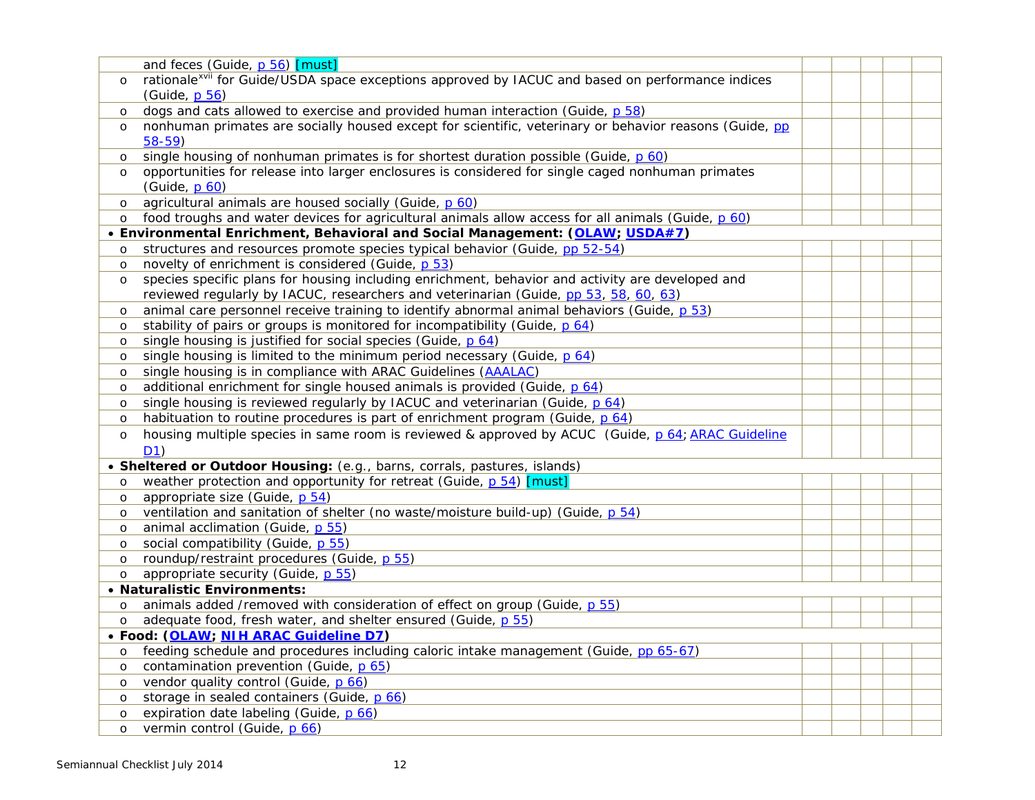|         | and feces (Guide, p 56) [must]                                                                                      |  |  |  |
|---------|---------------------------------------------------------------------------------------------------------------------|--|--|--|
| $\circ$ | rationale <sup>xvii</sup> for <i>Guide/USDA</i> space exceptions approved by IACUC and based on performance indices |  |  |  |
|         | (Guide, p 56)                                                                                                       |  |  |  |
| $\circ$ | dogs and cats allowed to exercise and provided human interaction (Guide, p 58)                                      |  |  |  |
| $\circ$ | nonhuman primates are socially housed except for scientific, veterinary or behavior reasons (Guide, pp              |  |  |  |
|         | $58-59)$                                                                                                            |  |  |  |
| $\circ$ | single housing of nonhuman primates is for shortest duration possible (Guide, p 60)                                 |  |  |  |
| $\circ$ | opportunities for release into larger enclosures is considered for single caged nonhuman primates                   |  |  |  |
|         | (Guide, p 60)                                                                                                       |  |  |  |
| $\circ$ | agricultural animals are housed socially (Guide, p 60)                                                              |  |  |  |
| $\circ$ | food troughs and water devices for agricultural animals allow access for all animals (Guide, p 60)                  |  |  |  |
|         | • Environmental Enrichment, Behavioral and Social Management: (OLAW; USDA#7)                                        |  |  |  |
| $\circ$ | structures and resources promote species typical behavior (Guide, pp 52-54)                                         |  |  |  |
| $\circ$ | novelty of enrichment is considered (Guide, p 53)                                                                   |  |  |  |
| $\circ$ | species specific plans for housing including enrichment, behavior and activity are developed and                    |  |  |  |
|         | reviewed regularly by IACUC, researchers and veterinarian (Guide, pp 53, 58, 60, 63)                                |  |  |  |
| $\circ$ | animal care personnel receive training to identify abnormal animal behaviors (Guide, p 53)                          |  |  |  |
| $\circ$ | stability of pairs or groups is monitored for incompatibility (Guide, p 64)                                         |  |  |  |
| $\circ$ | single housing is justified for social species (Guide, p 64)                                                        |  |  |  |
| $\circ$ | single housing is limited to the minimum period necessary (Guide, p 64)                                             |  |  |  |
| $\circ$ | single housing is in compliance with ARAC Guidelines (AAALAC)                                                       |  |  |  |
| $\circ$ | additional enrichment for single housed animals is provided (Guide, p 64)                                           |  |  |  |
| $\circ$ | single housing is reviewed regularly by IACUC and veterinarian (Guide, p 64)                                        |  |  |  |
| $\circ$ | habituation to routine procedures is part of enrichment program (Guide, p 64)                                       |  |  |  |
| $\circ$ | housing multiple species in same room is reviewed & approved by ACUC (Guide, p 64; ARAC Guideline                   |  |  |  |
|         | D <sub>1</sub>                                                                                                      |  |  |  |
|         | • Sheltered or Outdoor Housing: (e.g., barns, corrals, pastures, islands)                                           |  |  |  |
| $\circ$ | weather protection and opportunity for retreat (Guide, p 54) [must]                                                 |  |  |  |
| $\circ$ | appropriate size (Guide, p 54)                                                                                      |  |  |  |
| $\circ$ | ventilation and sanitation of shelter (no waste/moisture build-up) (Guide, p 54)                                    |  |  |  |
| $\circ$ | animal acclimation (Guide, p 55)                                                                                    |  |  |  |
| $\circ$ | social compatibility (Guide, p 55)                                                                                  |  |  |  |
| $\circ$ | roundup/restraint procedures (Guide, p 55)                                                                          |  |  |  |
| $\circ$ | appropriate security (Guide, p 55)                                                                                  |  |  |  |
|         | • Naturalistic Environments:                                                                                        |  |  |  |
| $\circ$ | animals added /removed with consideration of effect on group (Guide, p 55)                                          |  |  |  |
| $\circ$ | adequate food, fresh water, and shelter ensured (Guide, p 55)                                                       |  |  |  |
|         | · Food: (OLAW; NIH ARAC Guideline D7)                                                                               |  |  |  |
| $\circ$ | feeding schedule and procedures including caloric intake management (Guide, pp 65-67)                               |  |  |  |
| $\circ$ | contamination prevention (Guide, p 65)                                                                              |  |  |  |
| $\circ$ | vendor quality control (Guide, p 66)                                                                                |  |  |  |
| $\circ$ | storage in sealed containers (Guide, p 66)                                                                          |  |  |  |
| $\circ$ | expiration date labeling (Guide, p 66)                                                                              |  |  |  |
| $\circ$ | vermin control (Guide, p 66)                                                                                        |  |  |  |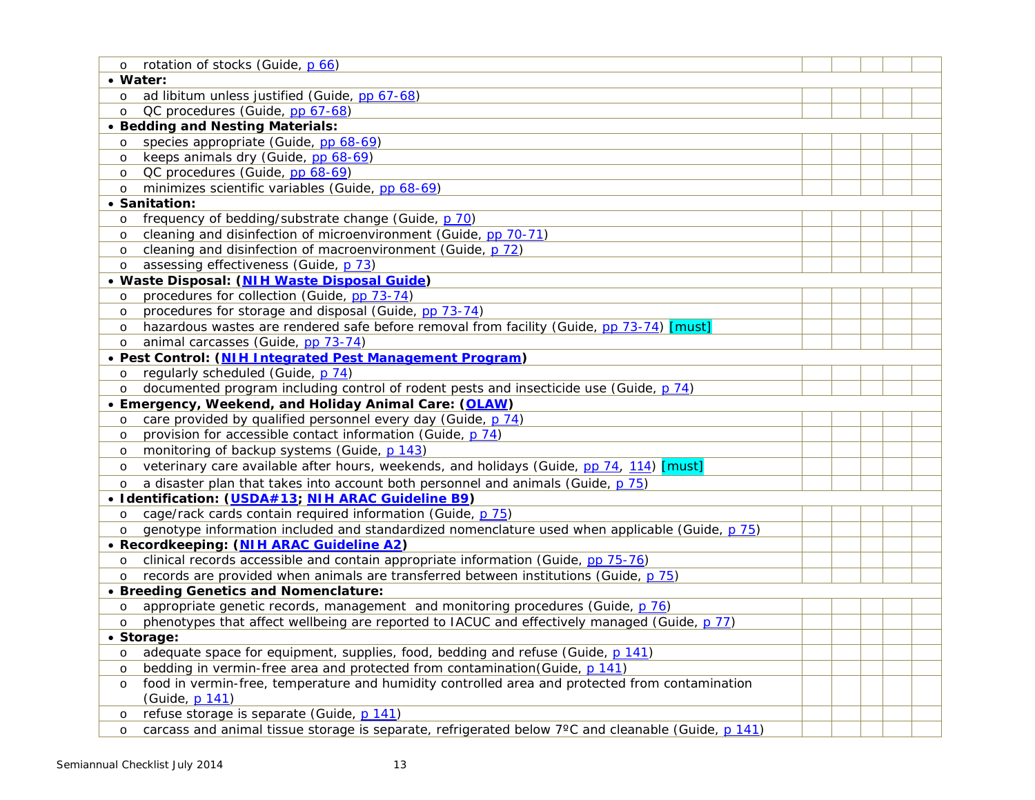| $\circ$ | rotation of stocks (Guide, p 66)                                                                   |  |  |  |
|---------|----------------------------------------------------------------------------------------------------|--|--|--|
|         | • Water:                                                                                           |  |  |  |
| $\circ$ | ad libitum unless justified (Guide, pp 67-68)                                                      |  |  |  |
| $\circ$ | QC procedures (Guide, pp 67-68)                                                                    |  |  |  |
|         | • Bedding and Nesting Materials:                                                                   |  |  |  |
| $\circ$ | species appropriate (Guide, pp 68-69)                                                              |  |  |  |
| $\circ$ | keeps animals dry (Guide, pp 68-69)                                                                |  |  |  |
| $\circ$ | QC procedures (Guide, pp 68-69)                                                                    |  |  |  |
| $\circ$ | minimizes scientific variables (Guide, pp 68-69)                                                   |  |  |  |
|         | • Sanitation:                                                                                      |  |  |  |
| $\circ$ | frequency of bedding/substrate change (Guide, p 70)                                                |  |  |  |
| $\circ$ | cleaning and disinfection of microenvironment (Guide, pp 70-71)                                    |  |  |  |
| $\circ$ | cleaning and disinfection of macroenvironment (Guide, p 72)                                        |  |  |  |
| $\circ$ | assessing effectiveness (Guide, p 73)                                                              |  |  |  |
|         | · Waste Disposal: (NIH Waste Disposal Guide)                                                       |  |  |  |
| $\circ$ | procedures for collection (Guide, pp 73-74)                                                        |  |  |  |
| $\circ$ | procedures for storage and disposal (Guide, pp 73-74)                                              |  |  |  |
| $\circ$ | hazardous wastes are rendered safe before removal from facility (Guide, pp 73-74) [must]           |  |  |  |
| $\circ$ | animal carcasses (Guide, pp 73-74)                                                                 |  |  |  |
|         | • Pest Control: (NIH Integrated Pest Management Program)                                           |  |  |  |
| $\circ$ | regularly scheduled (Guide, p 74)                                                                  |  |  |  |
| $\circ$ | documented program including control of rodent pests and insecticide use (Guide, p 74)             |  |  |  |
|         | • Emergency, Weekend, and Holiday Animal Care: (OLAW)                                              |  |  |  |
| $\circ$ | care provided by qualified personnel every day (Guide, p 74)                                       |  |  |  |
| $\circ$ | provision for accessible contact information (Guide, p 74)                                         |  |  |  |
| $\circ$ | monitoring of backup systems (Guide, p 143)                                                        |  |  |  |
| $\circ$ | veterinary care available after hours, weekends, and holidays (Guide, pp 74, 114) [must]           |  |  |  |
| $\circ$ | a disaster plan that takes into account both personnel and animals (Guide, p 75)                   |  |  |  |
|         | • Identification: (USDA#13; NIH ARAC Guideline B9)                                                 |  |  |  |
| $\circ$ | cage/rack cards contain required information (Guide, p 75)                                         |  |  |  |
| $\circ$ | genotype information included and standardized nomenclature used when applicable (Guide, p 75)     |  |  |  |
|         | • Recordkeeping: (NIH ARAC Guideline A2)                                                           |  |  |  |
| $\circ$ | clinical records accessible and contain appropriate information (Guide, pp 75-76)                  |  |  |  |
| $\circ$ | records are provided when animals are transferred between institutions (Guide, p 75)               |  |  |  |
|         | • Breeding Genetics and Nomenclature:                                                              |  |  |  |
| $\circ$ | appropriate genetic records, management and monitoring procedures (Guide, p 76)                    |  |  |  |
| $\circ$ | phenotypes that affect wellbeing are reported to IACUC and effectively managed (Guide, p 77)       |  |  |  |
|         | • Storage:                                                                                         |  |  |  |
| $\circ$ | adequate space for equipment, supplies, food, bedding and refuse (Guide, p 141)                    |  |  |  |
| $\circ$ | bedding in vermin-free area and protected from contamination (Guide, p 141)                        |  |  |  |
| $\circ$ | food in vermin-free, temperature and humidity controlled area and protected from contamination     |  |  |  |
|         | (Guide, p 141)                                                                                     |  |  |  |
| $\circ$ | refuse storage is separate (Guide, p 141)                                                          |  |  |  |
| $\circ$ | carcass and animal tissue storage is separate, refrigerated below 7°C and cleanable (Guide, p 141) |  |  |  |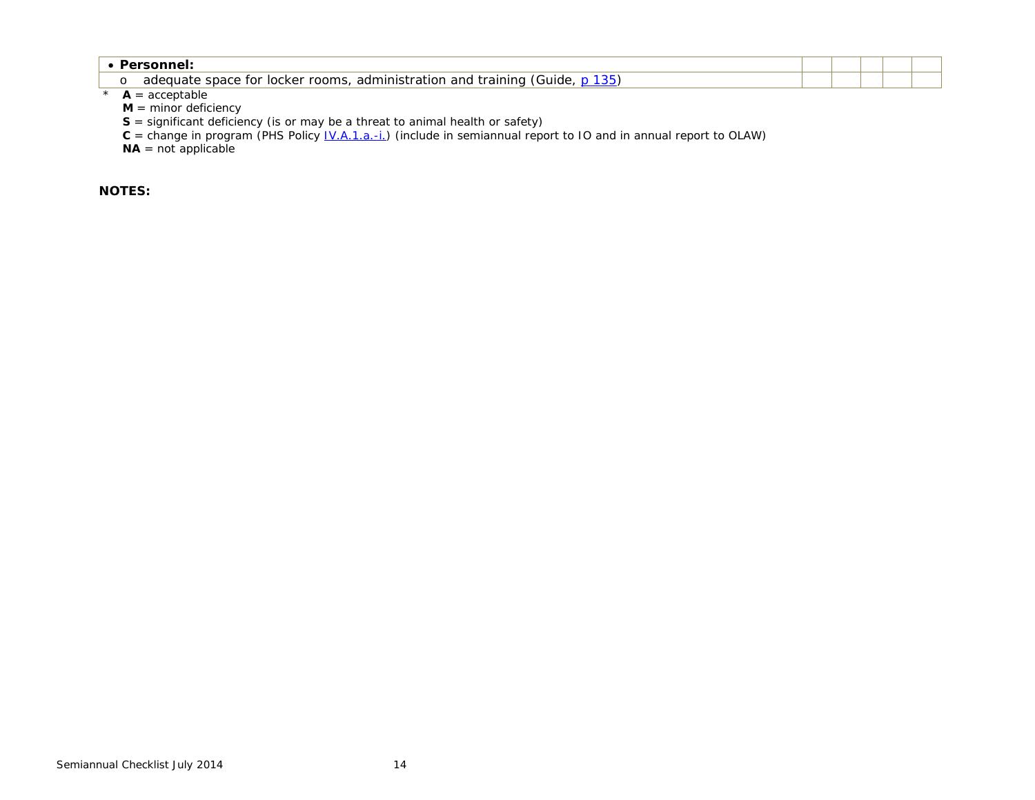| adequate space for locker rooms,<br>;, administration and training (<br>(Guide. |  |  |
|---------------------------------------------------------------------------------|--|--|

 $*$  **A** = acceptable

**M** = minor deficiency

**S** = significant deficiency (is or may be a threat to animal health or safety)

 $C =$  change in program (PHS Policy  $IV.A.1.a.-i$ .) (include in semiannual report to IO and in annual report to OLAW)

**NA** = not applicable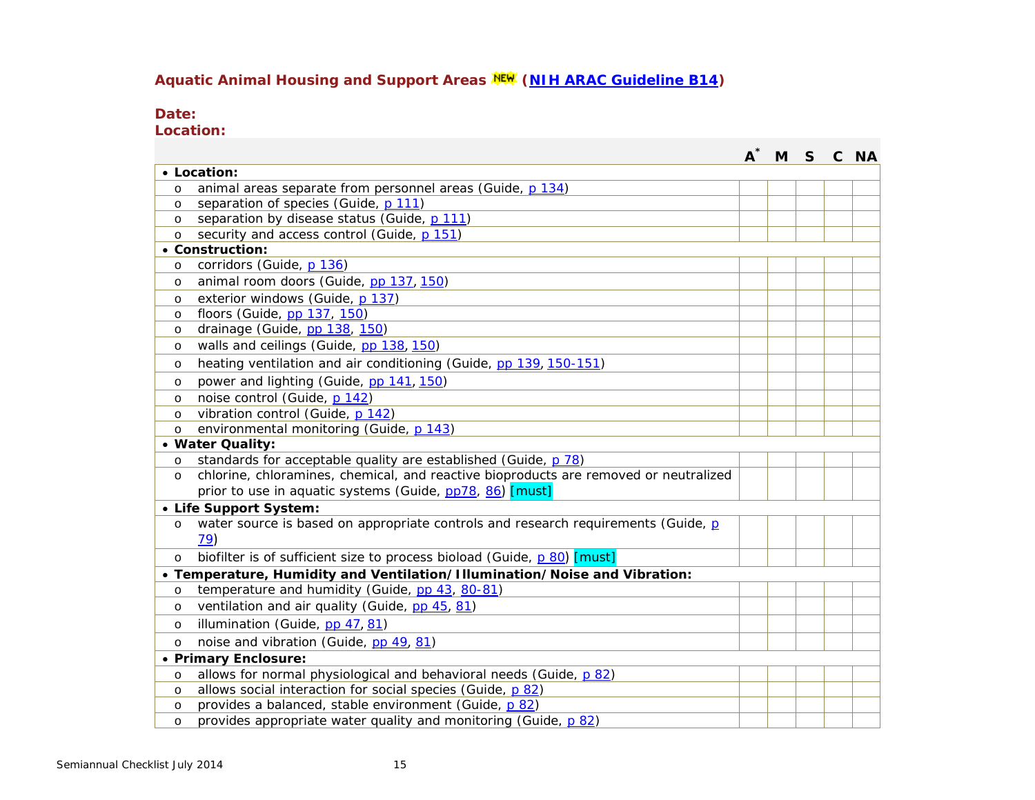# **Aquatic Animal Housing and Support Areas [\(NIH ARAC Guideline B14\)](http://oacu.od.nih.gov/ARAC/documents/Zebrafish.pdf)**

### **Date:**

**Location:**

|          |                                                                                      | $\boldsymbol{A}^*$ | M <sub>S</sub> |  | C NA |
|----------|--------------------------------------------------------------------------------------|--------------------|----------------|--|------|
|          | • Location:                                                                          |                    |                |  |      |
| $\circ$  | animal areas separate from personnel areas (Guide, p 134)                            |                    |                |  |      |
| $\circ$  | separation of species (Guide, p 111)                                                 |                    |                |  |      |
| $\Omega$ | separation by disease status (Guide, p 111)                                          |                    |                |  |      |
| $\circ$  | security and access control (Guide, p 151)                                           |                    |                |  |      |
|          | • Construction:                                                                      |                    |                |  |      |
| $\circ$  | corridors (Guide, p 136)                                                             |                    |                |  |      |
| $\circ$  | animal room doors (Guide, pp 137, 150)                                               |                    |                |  |      |
| $\circ$  | exterior windows (Guide, p 137)                                                      |                    |                |  |      |
| $\circ$  | floors (Guide, pp 137, 150)                                                          |                    |                |  |      |
| $\circ$  | drainage (Guide, pp 138, 150)                                                        |                    |                |  |      |
| $\circ$  | walls and ceilings (Guide, pp 138, 150)                                              |                    |                |  |      |
| $\circ$  | heating ventilation and air conditioning (Guide, pp 139, 150-151)                    |                    |                |  |      |
| $\circ$  | power and lighting (Guide, pp 141, 150)                                              |                    |                |  |      |
| $\circ$  | noise control (Guide, p 142)                                                         |                    |                |  |      |
| $\circ$  | vibration control (Guide, p 142)                                                     |                    |                |  |      |
| $\circ$  | environmental monitoring (Guide, p 143)                                              |                    |                |  |      |
|          | • Water Quality:                                                                     |                    |                |  |      |
| $\circ$  | standards for acceptable quality are established (Guide, p 78)                       |                    |                |  |      |
| $\circ$  | chlorine, chloramines, chemical, and reactive bioproducts are removed or neutralized |                    |                |  |      |
|          | prior to use in aquatic systems (Guide, pp78, 86) [must]                             |                    |                |  |      |
|          | • Life Support System:                                                               |                    |                |  |      |
| $\circ$  | water source is based on appropriate controls and research requirements (Guide, p    |                    |                |  |      |
|          | 79)                                                                                  |                    |                |  |      |
| $\circ$  | biofilter is of sufficient size to process bioload (Guide, p 80) [must]              |                    |                |  |      |
|          | • Temperature, Humidity and Ventilation/Illumination/Noise and Vibration:            |                    |                |  |      |
| $\circ$  | temperature and humidity (Guide, pp 43, 80-81)                                       |                    |                |  |      |
| $\circ$  | ventilation and air quality (Guide, pp 45, 81)                                       |                    |                |  |      |
| $\circ$  | illumination (Guide, pp 47, 81)                                                      |                    |                |  |      |
| $\circ$  | noise and vibration (Guide, pp 49, 81)                                               |                    |                |  |      |
|          | • Primary Enclosure:                                                                 |                    |                |  |      |
| $\circ$  | allows for normal physiological and behavioral needs (Guide, p 82)                   |                    |                |  |      |
| $\circ$  | allows social interaction for social species (Guide, p 82)                           |                    |                |  |      |
| $\circ$  | provides a balanced, stable environment (Guide, p 82)                                |                    |                |  |      |
| $\circ$  | provides appropriate water quality and monitoring (Guide, p 82)                      |                    |                |  |      |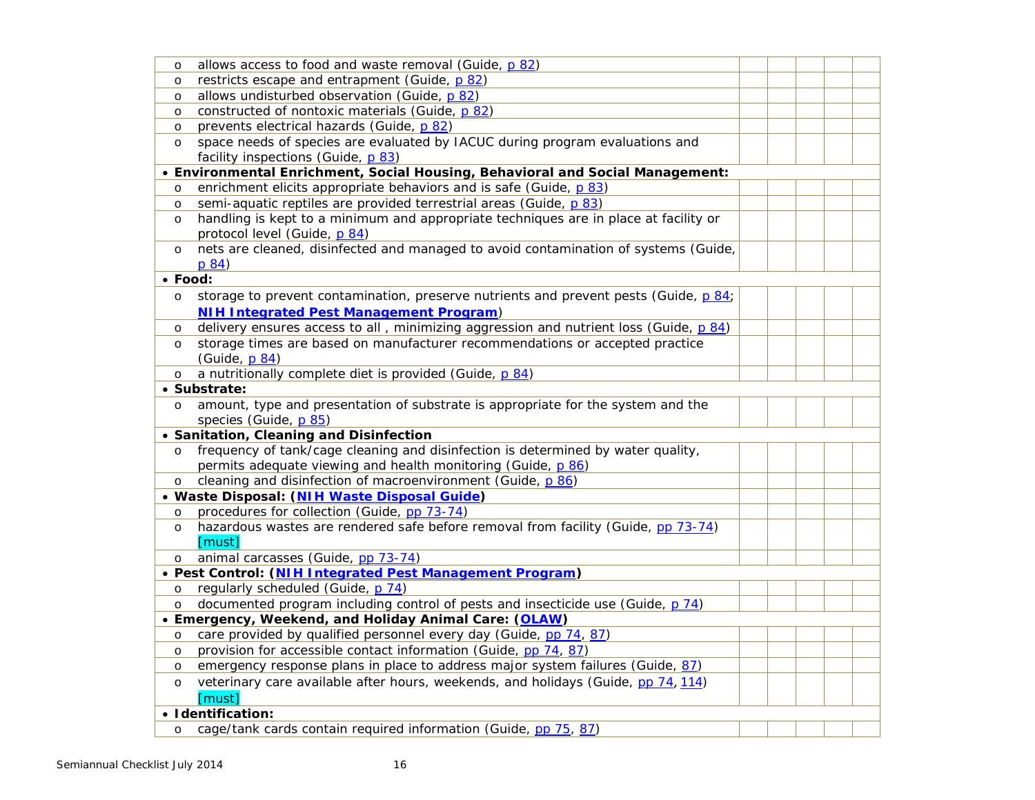| $\circ$                                                                       | allows access to food and waste removal (Guide, p 82)                                 |  |  |  |  |  |  |  |  |
|-------------------------------------------------------------------------------|---------------------------------------------------------------------------------------|--|--|--|--|--|--|--|--|
| $\circ$                                                                       | restricts escape and entrapment (Guide, p 82)                                         |  |  |  |  |  |  |  |  |
| $\circ$                                                                       | allows undisturbed observation (Guide, p 82)                                          |  |  |  |  |  |  |  |  |
| $\circ$                                                                       | constructed of nontoxic materials (Guide, p 82)                                       |  |  |  |  |  |  |  |  |
| $\circ$                                                                       | prevents electrical hazards (Guide, p 82)                                             |  |  |  |  |  |  |  |  |
| $\circ$                                                                       | space needs of species are evaluated by IACUC during program evaluations and          |  |  |  |  |  |  |  |  |
|                                                                               | facility inspections (Guide, p 83)                                                    |  |  |  |  |  |  |  |  |
| • Environmental Enrichment, Social Housing, Behavioral and Social Management: |                                                                                       |  |  |  |  |  |  |  |  |
| $\circ$                                                                       | enrichment elicits appropriate behaviors and is safe (Guide, p 83)                    |  |  |  |  |  |  |  |  |
| $\circ$                                                                       | semi-aquatic reptiles are provided terrestrial areas (Guide, p 83)                    |  |  |  |  |  |  |  |  |
| $\circ$                                                                       | handling is kept to a minimum and appropriate techniques are in place at facility or  |  |  |  |  |  |  |  |  |
|                                                                               | protocol level (Guide, p 84)                                                          |  |  |  |  |  |  |  |  |
| $\circ$                                                                       | nets are cleaned, disinfected and managed to avoid contamination of systems (Guide,   |  |  |  |  |  |  |  |  |
|                                                                               | p 84)                                                                                 |  |  |  |  |  |  |  |  |
|                                                                               | $\bullet$ Food:                                                                       |  |  |  |  |  |  |  |  |
| $\circ$                                                                       | storage to prevent contamination, preserve nutrients and prevent pests (Guide, p 84;  |  |  |  |  |  |  |  |  |
|                                                                               | <b>NIH Integrated Pest Management Program)</b>                                        |  |  |  |  |  |  |  |  |
| $\circ$                                                                       | delivery ensures access to all, minimizing aggression and nutrient loss (Guide, p 84) |  |  |  |  |  |  |  |  |
| $\circ$                                                                       | storage times are based on manufacturer recommendations or accepted practice          |  |  |  |  |  |  |  |  |
|                                                                               | (Guide, p 84)                                                                         |  |  |  |  |  |  |  |  |
| $\circ$                                                                       | a nutritionally complete diet is provided (Guide, p 84)                               |  |  |  |  |  |  |  |  |
|                                                                               | • Substrate:                                                                          |  |  |  |  |  |  |  |  |
| $\circ$                                                                       | amount, type and presentation of substrate is appropriate for the system and the      |  |  |  |  |  |  |  |  |
|                                                                               | species (Guide, p 85)                                                                 |  |  |  |  |  |  |  |  |
|                                                                               | • Sanitation, Cleaning and Disinfection                                               |  |  |  |  |  |  |  |  |
| $\circ$                                                                       | frequency of tank/cage cleaning and disinfection is determined by water quality,      |  |  |  |  |  |  |  |  |
|                                                                               | permits adequate viewing and health monitoring (Guide, p 86)                          |  |  |  |  |  |  |  |  |
| $\circ$                                                                       | cleaning and disinfection of macroenvironment (Guide, p 86)                           |  |  |  |  |  |  |  |  |
|                                                                               | · Waste Disposal: (NIH Waste Disposal Guide)                                          |  |  |  |  |  |  |  |  |
| $\circ$                                                                       | procedures for collection (Guide, pp 73-74)                                           |  |  |  |  |  |  |  |  |
| $\circ$                                                                       | hazardous wastes are rendered safe before removal from facility (Guide, pp 73-74)     |  |  |  |  |  |  |  |  |
|                                                                               | [must]                                                                                |  |  |  |  |  |  |  |  |
| $\circ$                                                                       | animal carcasses (Guide, pp 73-74)                                                    |  |  |  |  |  |  |  |  |
|                                                                               | · Pest Control: (NIH Integrated Pest Management Program)                              |  |  |  |  |  |  |  |  |
| $\circ$                                                                       | regularly scheduled (Guide, p 74)                                                     |  |  |  |  |  |  |  |  |
| $\circ$                                                                       | documented program including control of pests and insecticide use (Guide, p 74)       |  |  |  |  |  |  |  |  |
|                                                                               | • Emergency, Weekend, and Holiday Animal Care: (OLAW)                                 |  |  |  |  |  |  |  |  |
| $\circ$                                                                       | care provided by qualified personnel every day (Guide, pp 74, 87)                     |  |  |  |  |  |  |  |  |
| $\circ$                                                                       | provision for accessible contact information (Guide, pp 74, 87)                       |  |  |  |  |  |  |  |  |
| $\circ$                                                                       | emergency response plans in place to address major system failures (Guide, 87)        |  |  |  |  |  |  |  |  |
| $\circ$                                                                       | veterinary care available after hours, weekends, and holidays (Guide, pp 74, 114)     |  |  |  |  |  |  |  |  |
|                                                                               | [must]                                                                                |  |  |  |  |  |  |  |  |
|                                                                               | · Identification:                                                                     |  |  |  |  |  |  |  |  |
| $\circ$                                                                       | cage/tank cards contain required information (Guide, pp 75, 87)                       |  |  |  |  |  |  |  |  |
|                                                                               |                                                                                       |  |  |  |  |  |  |  |  |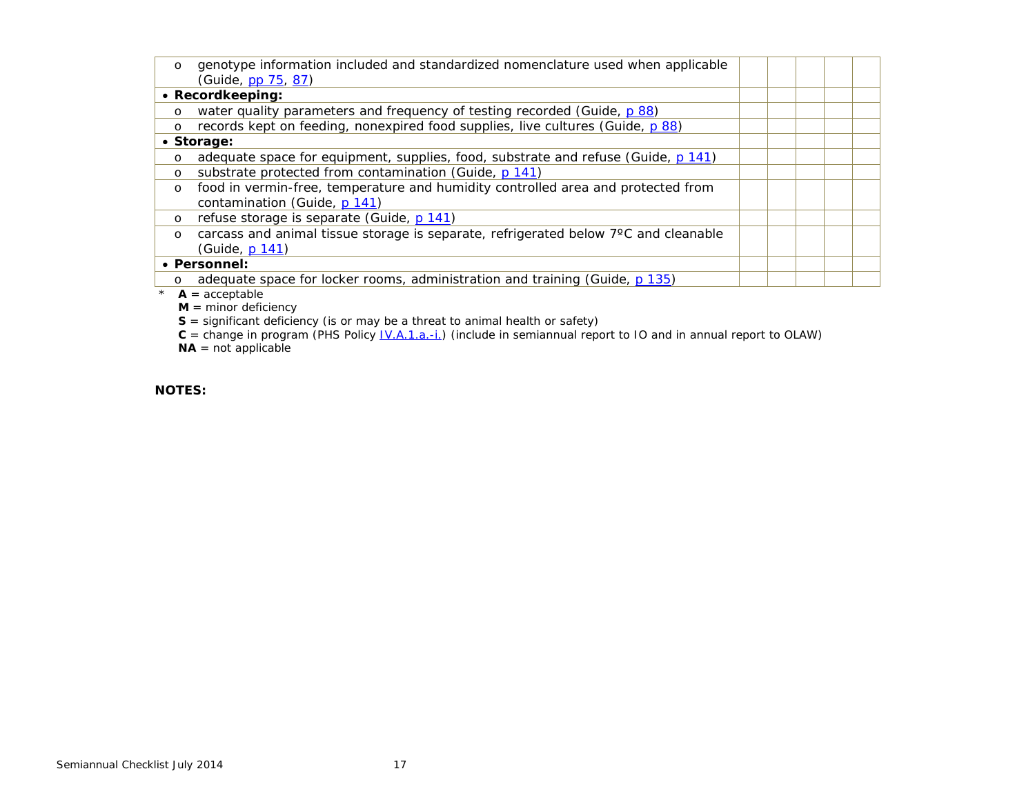| $\circ$ | genotype information included and standardized nomenclature used when applicable    |  |  |
|---------|-------------------------------------------------------------------------------------|--|--|
|         | (Guide, pp 75, 87)                                                                  |  |  |
|         | • Recordkeeping:                                                                    |  |  |
| $\circ$ | water quality parameters and frequency of testing recorded (Guide, p 88)            |  |  |
| $\circ$ | records kept on feeding, nonexpired food supplies, live cultures (Guide, p 88)      |  |  |
|         | • Storage:                                                                          |  |  |
| $\circ$ | adequate space for equipment, supplies, food, substrate and refuse (Guide, p 141)   |  |  |
| $\circ$ | substrate protected from contamination (Guide, p 141)                               |  |  |
| $\circ$ | food in vermin-free, temperature and humidity controlled area and protected from    |  |  |
|         | contamination (Guide, p 141)                                                        |  |  |
| $\circ$ | refuse storage is separate (Guide, p 141)                                           |  |  |
| $\circ$ | carcass and animal tissue storage is separate, refrigerated below 7°C and cleanable |  |  |
|         | (Guide, p 141)                                                                      |  |  |
|         | • Personnel:                                                                        |  |  |
| $\circ$ | adequate space for locker rooms, administration and training (Guide, p 135)         |  |  |
|         | $A =$ acceptable                                                                    |  |  |

**M** = minor deficiency

**S** = significant deficiency (is or may be a threat to animal health or safety)

**C** = change in program (PHS Policy [IV.A.1.a.-i.\)](http://grants.nih.gov/grants/olaw/references/phspol.htm#AnimalWelfareAssurance) (include in semiannual report to IO and in annual report to OLAW)  $NA = not$  applicable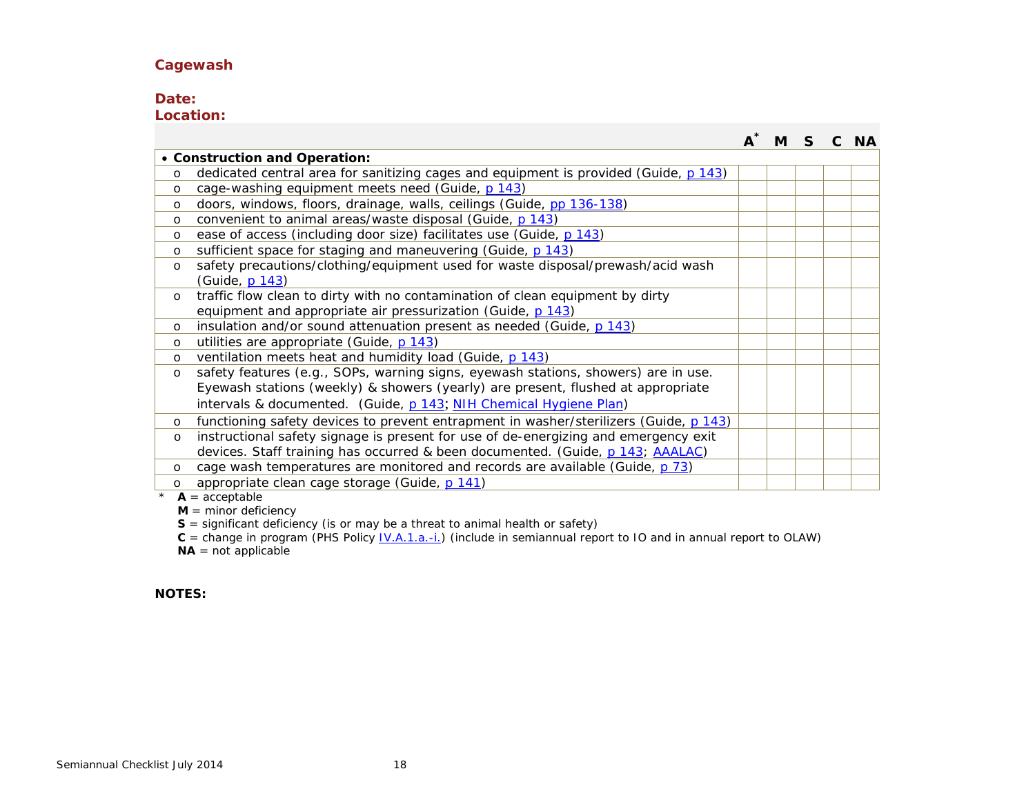#### **Cagewash**

### **Date:**

**Location:**

|         |                                                                                       | м |  | <b>NA</b> |
|---------|---------------------------------------------------------------------------------------|---|--|-----------|
|         | • Construction and Operation:                                                         |   |  |           |
| $\circ$ | dedicated central area for sanitizing cages and equipment is provided (Guide, p 143)  |   |  |           |
| $\circ$ | cage-washing equipment meets need (Guide, p 143)                                      |   |  |           |
| $\circ$ | doors, windows, floors, drainage, walls, ceilings (Guide, pp 136-138)                 |   |  |           |
| $\circ$ | convenient to animal areas/waste disposal (Guide, p 143)                              |   |  |           |
| $\circ$ | ease of access (including door size) facilitates use (Guide, p 143)                   |   |  |           |
| $\circ$ | sufficient space for staging and maneuvering (Guide, p 143)                           |   |  |           |
| $\circ$ | safety precautions/clothing/equipment used for waste disposal/prewash/acid wash       |   |  |           |
|         | (Guide, p 143)                                                                        |   |  |           |
| $\circ$ | traffic flow clean to dirty with no contamination of clean equipment by dirty         |   |  |           |
|         | equipment and appropriate air pressurization (Guide, p 143)                           |   |  |           |
| $\circ$ | insulation and/or sound attenuation present as needed (Guide, p 143)                  |   |  |           |
| $\circ$ | utilities are appropriate (Guide, p 143)                                              |   |  |           |
| $\circ$ | ventilation meets heat and humidity load (Guide, p 143)                               |   |  |           |
| O       | safety features (e.g., SOPs, warning signs, eyewash stations, showers) are in use.    |   |  |           |
|         | Eyewash stations (weekly) & showers (yearly) are present, flushed at appropriate      |   |  |           |
|         | intervals & documented. (Guide, p 143; NIH Chemical Hygiene Plan)                     |   |  |           |
| $\circ$ | functioning safety devices to prevent entrapment in washer/sterilizers (Guide, p 143) |   |  |           |
| $\circ$ | instructional safety signage is present for use of de-energizing and emergency exit   |   |  |           |
|         | devices. Staff training has occurred & been documented. (Guide, p.143; AAALAC)        |   |  |           |
| $\circ$ | cage wash temperatures are monitored and records are available (Guide, p 73)          |   |  |           |
| $\circ$ | appropriate clean cage storage (Guide, p 141)                                         |   |  |           |

 $*$  **A** = acceptable

 $M =$  minor deficiency

**S** = significant deficiency (is or may be a threat to animal health or safety)

 $C =$  change in program (PHS Policy  $\underline{IV.A.1.a.-i}$ ) (include in semiannual report to IO and in annual report to OLAW)

**NA** = not applicable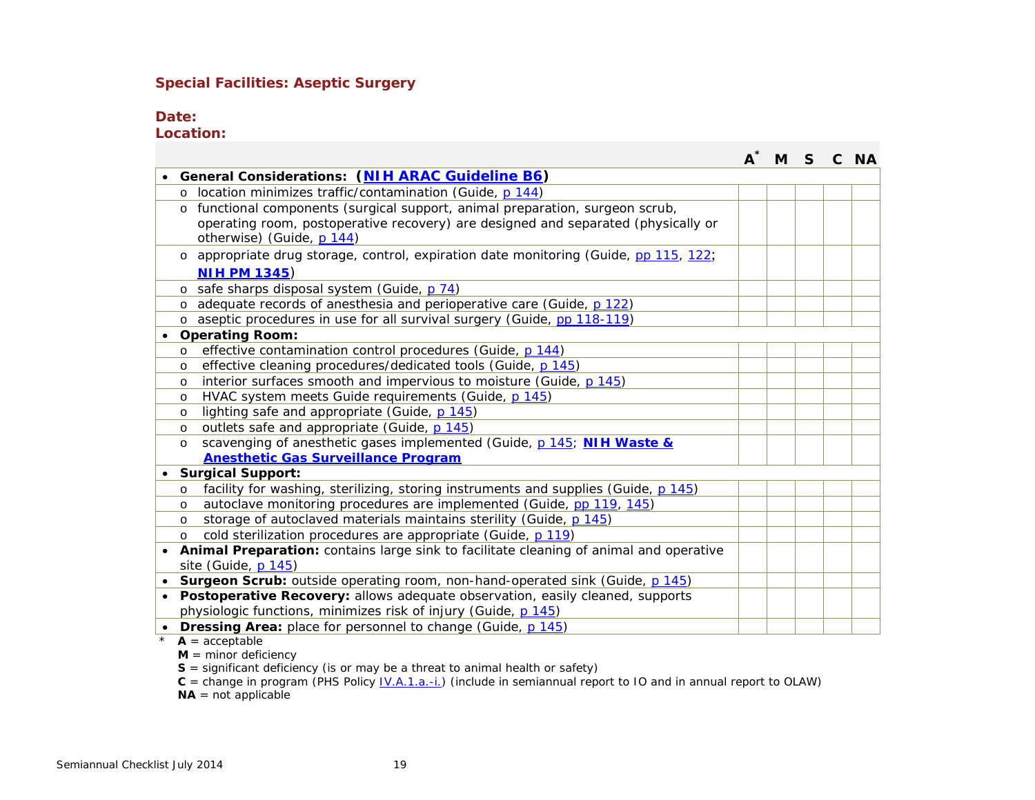#### **Special Facilities: Aseptic Surgery**

#### **Date:**

**Location:**

| General Considerations: (NIH ARAC Guideline B6)<br>location minimizes traffic/contamination (Guide, p 144)<br>functional components (surgical support, animal preparation, surgeon scrub,<br>$\circ$<br>operating room, postoperative recovery) are designed and separated (physically or<br>otherwise) (Guide, p 144)<br>o appropriate drug storage, control, expiration date monitoring (Guide, pp 115, 122;<br><b>NIH PM 1345)</b><br>safe sharps disposal system (Guide, p 74)<br>$\circ$<br>adequate records of anesthesia and perioperative care (Guide, p 122)<br>$\circ$<br>o aseptic procedures in use for all survival surgery (Guide, pp 118-119)<br><b>Operating Room:</b><br>$\bullet$<br>effective contamination control procedures (Guide, p 144)<br>O<br>effective cleaning procedures/dedicated tools (Guide, p 145)<br>O<br>interior surfaces smooth and impervious to moisture (Guide, p 145)<br>$\circ$<br>HVAC system meets Guide requirements (Guide, p 145)<br>$\circ$<br>lighting safe and appropriate (Guide, p 145)<br>O<br>outlets safe and appropriate (Guide, p 145)<br>$\circ$<br>scavenging of anesthetic gases implemented (Guide, p 145; NIH Waste &<br>O<br><b>Anesthetic Gas Surveillance Program</b><br><b>Surgical Support:</b><br>facility for washing, sterilizing, storing instruments and supplies (Guide, p 145)<br>$\circ$<br>autoclave monitoring procedures are implemented (Guide, pp 119, 145)<br>O |  |  |  |  |  |  |  |  |
|----------------------------------------------------------------------------------------------------------------------------------------------------------------------------------------------------------------------------------------------------------------------------------------------------------------------------------------------------------------------------------------------------------------------------------------------------------------------------------------------------------------------------------------------------------------------------------------------------------------------------------------------------------------------------------------------------------------------------------------------------------------------------------------------------------------------------------------------------------------------------------------------------------------------------------------------------------------------------------------------------------------------------------------------------------------------------------------------------------------------------------------------------------------------------------------------------------------------------------------------------------------------------------------------------------------------------------------------------------------------------------------------------------------------------------------------------|--|--|--|--|--|--|--|--|
|                                                                                                                                                                                                                                                                                                                                                                                                                                                                                                                                                                                                                                                                                                                                                                                                                                                                                                                                                                                                                                                                                                                                                                                                                                                                                                                                                                                                                                                    |  |  |  |  |  |  |  |  |
|                                                                                                                                                                                                                                                                                                                                                                                                                                                                                                                                                                                                                                                                                                                                                                                                                                                                                                                                                                                                                                                                                                                                                                                                                                                                                                                                                                                                                                                    |  |  |  |  |  |  |  |  |
|                                                                                                                                                                                                                                                                                                                                                                                                                                                                                                                                                                                                                                                                                                                                                                                                                                                                                                                                                                                                                                                                                                                                                                                                                                                                                                                                                                                                                                                    |  |  |  |  |  |  |  |  |
|                                                                                                                                                                                                                                                                                                                                                                                                                                                                                                                                                                                                                                                                                                                                                                                                                                                                                                                                                                                                                                                                                                                                                                                                                                                                                                                                                                                                                                                    |  |  |  |  |  |  |  |  |
|                                                                                                                                                                                                                                                                                                                                                                                                                                                                                                                                                                                                                                                                                                                                                                                                                                                                                                                                                                                                                                                                                                                                                                                                                                                                                                                                                                                                                                                    |  |  |  |  |  |  |  |  |
|                                                                                                                                                                                                                                                                                                                                                                                                                                                                                                                                                                                                                                                                                                                                                                                                                                                                                                                                                                                                                                                                                                                                                                                                                                                                                                                                                                                                                                                    |  |  |  |  |  |  |  |  |
|                                                                                                                                                                                                                                                                                                                                                                                                                                                                                                                                                                                                                                                                                                                                                                                                                                                                                                                                                                                                                                                                                                                                                                                                                                                                                                                                                                                                                                                    |  |  |  |  |  |  |  |  |
|                                                                                                                                                                                                                                                                                                                                                                                                                                                                                                                                                                                                                                                                                                                                                                                                                                                                                                                                                                                                                                                                                                                                                                                                                                                                                                                                                                                                                                                    |  |  |  |  |  |  |  |  |
|                                                                                                                                                                                                                                                                                                                                                                                                                                                                                                                                                                                                                                                                                                                                                                                                                                                                                                                                                                                                                                                                                                                                                                                                                                                                                                                                                                                                                                                    |  |  |  |  |  |  |  |  |
|                                                                                                                                                                                                                                                                                                                                                                                                                                                                                                                                                                                                                                                                                                                                                                                                                                                                                                                                                                                                                                                                                                                                                                                                                                                                                                                                                                                                                                                    |  |  |  |  |  |  |  |  |
|                                                                                                                                                                                                                                                                                                                                                                                                                                                                                                                                                                                                                                                                                                                                                                                                                                                                                                                                                                                                                                                                                                                                                                                                                                                                                                                                                                                                                                                    |  |  |  |  |  |  |  |  |
|                                                                                                                                                                                                                                                                                                                                                                                                                                                                                                                                                                                                                                                                                                                                                                                                                                                                                                                                                                                                                                                                                                                                                                                                                                                                                                                                                                                                                                                    |  |  |  |  |  |  |  |  |
|                                                                                                                                                                                                                                                                                                                                                                                                                                                                                                                                                                                                                                                                                                                                                                                                                                                                                                                                                                                                                                                                                                                                                                                                                                                                                                                                                                                                                                                    |  |  |  |  |  |  |  |  |
|                                                                                                                                                                                                                                                                                                                                                                                                                                                                                                                                                                                                                                                                                                                                                                                                                                                                                                                                                                                                                                                                                                                                                                                                                                                                                                                                                                                                                                                    |  |  |  |  |  |  |  |  |
|                                                                                                                                                                                                                                                                                                                                                                                                                                                                                                                                                                                                                                                                                                                                                                                                                                                                                                                                                                                                                                                                                                                                                                                                                                                                                                                                                                                                                                                    |  |  |  |  |  |  |  |  |
|                                                                                                                                                                                                                                                                                                                                                                                                                                                                                                                                                                                                                                                                                                                                                                                                                                                                                                                                                                                                                                                                                                                                                                                                                                                                                                                                                                                                                                                    |  |  |  |  |  |  |  |  |
|                                                                                                                                                                                                                                                                                                                                                                                                                                                                                                                                                                                                                                                                                                                                                                                                                                                                                                                                                                                                                                                                                                                                                                                                                                                                                                                                                                                                                                                    |  |  |  |  |  |  |  |  |
|                                                                                                                                                                                                                                                                                                                                                                                                                                                                                                                                                                                                                                                                                                                                                                                                                                                                                                                                                                                                                                                                                                                                                                                                                                                                                                                                                                                                                                                    |  |  |  |  |  |  |  |  |
|                                                                                                                                                                                                                                                                                                                                                                                                                                                                                                                                                                                                                                                                                                                                                                                                                                                                                                                                                                                                                                                                                                                                                                                                                                                                                                                                                                                                                                                    |  |  |  |  |  |  |  |  |
|                                                                                                                                                                                                                                                                                                                                                                                                                                                                                                                                                                                                                                                                                                                                                                                                                                                                                                                                                                                                                                                                                                                                                                                                                                                                                                                                                                                                                                                    |  |  |  |  |  |  |  |  |
|                                                                                                                                                                                                                                                                                                                                                                                                                                                                                                                                                                                                                                                                                                                                                                                                                                                                                                                                                                                                                                                                                                                                                                                                                                                                                                                                                                                                                                                    |  |  |  |  |  |  |  |  |
|                                                                                                                                                                                                                                                                                                                                                                                                                                                                                                                                                                                                                                                                                                                                                                                                                                                                                                                                                                                                                                                                                                                                                                                                                                                                                                                                                                                                                                                    |  |  |  |  |  |  |  |  |
| storage of autoclaved materials maintains sterility (Guide, p 145)<br>$\circ$                                                                                                                                                                                                                                                                                                                                                                                                                                                                                                                                                                                                                                                                                                                                                                                                                                                                                                                                                                                                                                                                                                                                                                                                                                                                                                                                                                      |  |  |  |  |  |  |  |  |
| cold sterilization procedures are appropriate (Guide, p 119)<br>$\circ$                                                                                                                                                                                                                                                                                                                                                                                                                                                                                                                                                                                                                                                                                                                                                                                                                                                                                                                                                                                                                                                                                                                                                                                                                                                                                                                                                                            |  |  |  |  |  |  |  |  |
| Animal Preparation: contains large sink to facilitate cleaning of animal and operative                                                                                                                                                                                                                                                                                                                                                                                                                                                                                                                                                                                                                                                                                                                                                                                                                                                                                                                                                                                                                                                                                                                                                                                                                                                                                                                                                             |  |  |  |  |  |  |  |  |
| site (Guide, p 145)                                                                                                                                                                                                                                                                                                                                                                                                                                                                                                                                                                                                                                                                                                                                                                                                                                                                                                                                                                                                                                                                                                                                                                                                                                                                                                                                                                                                                                |  |  |  |  |  |  |  |  |
| <b>Surgeon Scrub:</b> outside operating room, non-hand-operated sink (Guide, p 145)                                                                                                                                                                                                                                                                                                                                                                                                                                                                                                                                                                                                                                                                                                                                                                                                                                                                                                                                                                                                                                                                                                                                                                                                                                                                                                                                                                |  |  |  |  |  |  |  |  |
| Postoperative Recovery: allows adequate observation, easily cleaned, supports                                                                                                                                                                                                                                                                                                                                                                                                                                                                                                                                                                                                                                                                                                                                                                                                                                                                                                                                                                                                                                                                                                                                                                                                                                                                                                                                                                      |  |  |  |  |  |  |  |  |
| physiologic functions, minimizes risk of injury (Guide, p 145)                                                                                                                                                                                                                                                                                                                                                                                                                                                                                                                                                                                                                                                                                                                                                                                                                                                                                                                                                                                                                                                                                                                                                                                                                                                                                                                                                                                     |  |  |  |  |  |  |  |  |
| <b>Dressing Area:</b> place for personnel to change (Guide, p 145)<br>$A =$ acceptable                                                                                                                                                                                                                                                                                                                                                                                                                                                                                                                                                                                                                                                                                                                                                                                                                                                                                                                                                                                                                                                                                                                                                                                                                                                                                                                                                             |  |  |  |  |  |  |  |  |

 $M =$  minor deficiency

**S** = significant deficiency (is or may be a threat to animal health or safety)

**C** = change in program (PHS Policy <u>IV.A.1.a.-i.</u>) (include in semiannual report to IO and in annual report to OLAW)

 $NA = not$  applicable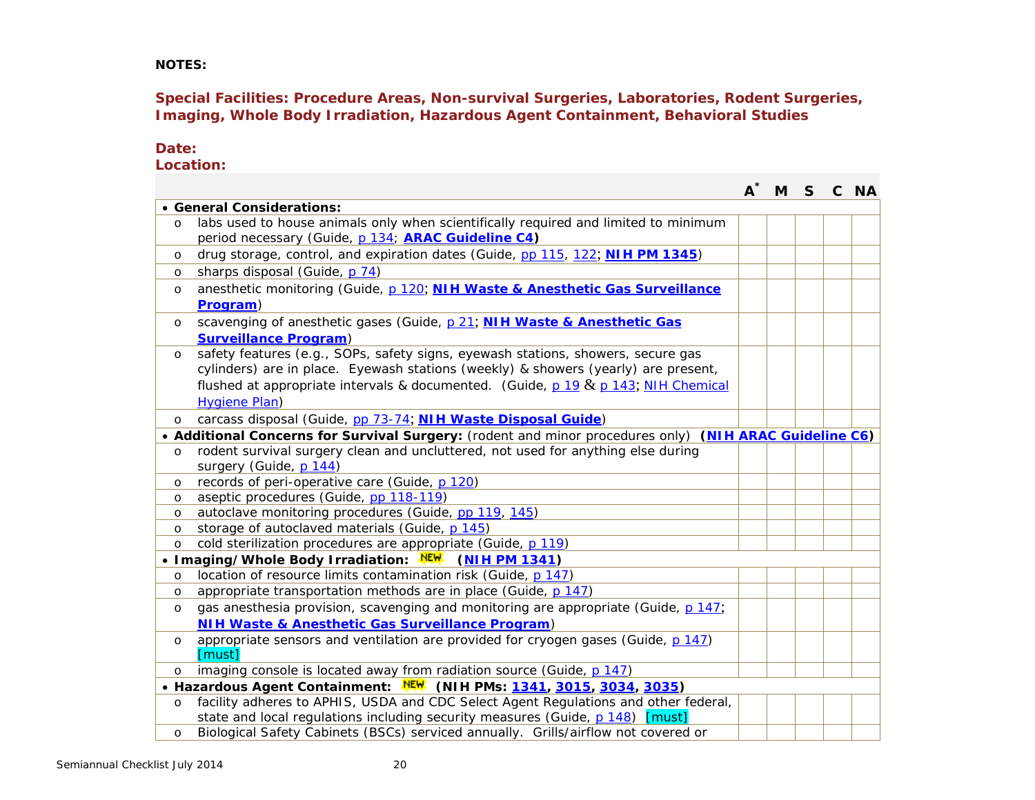**NOTES:**

**Special Facilities: Procedure Areas, Non-survival Surgeries, Laboratories, Rodent Surgeries, Imaging, Whole Body Irradiation, Hazardous Agent Containment, Behavioral Studies**

**Date:**

**Location:**

|                                                                      |                                                                                                                                                                                                                                                                                         |  | M | $\mathsf{S}$ |  | C NA |  |  |
|----------------------------------------------------------------------|-----------------------------------------------------------------------------------------------------------------------------------------------------------------------------------------------------------------------------------------------------------------------------------------|--|---|--------------|--|------|--|--|
|                                                                      | • General Considerations:                                                                                                                                                                                                                                                               |  |   |              |  |      |  |  |
| $\circ$                                                              | labs used to house animals only when scientifically required and limited to minimum<br>period necessary (Guide, p 134; ARAC Guideline C4)                                                                                                                                               |  |   |              |  |      |  |  |
| $\circ$                                                              | drug storage, control, and expiration dates (Guide, pp 115, 122; NIH PM 1345)                                                                                                                                                                                                           |  |   |              |  |      |  |  |
| $\circ$                                                              | sharps disposal (Guide, p 74)                                                                                                                                                                                                                                                           |  |   |              |  |      |  |  |
| $\circ$                                                              | anesthetic monitoring (Guide, p 120; NIH Waste & Anesthetic Gas Surveillance<br>Program)                                                                                                                                                                                                |  |   |              |  |      |  |  |
| $\circ$                                                              | scavenging of anesthetic gases (Guide, p 21; NIH Waste & Anesthetic Gas<br><b>Surveillance Program)</b>                                                                                                                                                                                 |  |   |              |  |      |  |  |
| $\circ$                                                              | safety features (e.g., SOPs, safety signs, eyewash stations, showers, secure gas<br>cylinders) are in place. Eyewash stations (weekly) & showers (yearly) are present,<br>flushed at appropriate intervals & documented. (Guide, $p$ 19 & $p$ 143; NIH Chemical<br><b>Hygiene Plan)</b> |  |   |              |  |      |  |  |
| $\circ$                                                              | carcass disposal (Guide, pp 73-74; NIH Waste Disposal Guide)                                                                                                                                                                                                                            |  |   |              |  |      |  |  |
|                                                                      | • Additional Concerns for Survival Surgery: (rodent and minor procedures only) (NIH ARAC Guideline C6)                                                                                                                                                                                  |  |   |              |  |      |  |  |
| $\circ$                                                              | rodent survival surgery clean and uncluttered, not used for anything else during<br>surgery (Guide, p 144)                                                                                                                                                                              |  |   |              |  |      |  |  |
| $\circ$                                                              | records of peri-operative care (Guide, p 120)                                                                                                                                                                                                                                           |  |   |              |  |      |  |  |
| $\circ$                                                              | aseptic procedures (Guide, pp 118-119)                                                                                                                                                                                                                                                  |  |   |              |  |      |  |  |
| $\circ$                                                              | autoclave monitoring procedures (Guide, pp 119, 145)                                                                                                                                                                                                                                    |  |   |              |  |      |  |  |
| $\circ$                                                              | storage of autoclaved materials (Guide, p 145)                                                                                                                                                                                                                                          |  |   |              |  |      |  |  |
| $\circ$                                                              | cold sterilization procedures are appropriate (Guide, p 119)                                                                                                                                                                                                                            |  |   |              |  |      |  |  |
| • Imaging/Whole Body Irradiation: NEW<br>(NIH PM 1341)               |                                                                                                                                                                                                                                                                                         |  |   |              |  |      |  |  |
| $\circ$                                                              | location of resource limits contamination risk (Guide, p 147)                                                                                                                                                                                                                           |  |   |              |  |      |  |  |
| $\circ$                                                              | appropriate transportation methods are in place (Guide, p 147)                                                                                                                                                                                                                          |  |   |              |  |      |  |  |
| $\circ$                                                              | gas anesthesia provision, scavenging and monitoring are appropriate (Guide, p 147;                                                                                                                                                                                                      |  |   |              |  |      |  |  |
|                                                                      | NIH Waste & Anesthetic Gas Surveillance Program)                                                                                                                                                                                                                                        |  |   |              |  |      |  |  |
| $\circ$                                                              | appropriate sensors and ventilation are provided for cryogen gases (Guide, p 147)<br>[must]                                                                                                                                                                                             |  |   |              |  |      |  |  |
| $\circ$                                                              | imaging console is located away from radiation source (Guide, p 147)                                                                                                                                                                                                                    |  |   |              |  |      |  |  |
| • Hazardous Agent Containment: NEW (NIH PMs: 1341, 3015, 3034, 3035) |                                                                                                                                                                                                                                                                                         |  |   |              |  |      |  |  |
| $\circ$                                                              | facility adheres to APHIS, USDA and CDC Select Agent Regulations and other federal,                                                                                                                                                                                                     |  |   |              |  |      |  |  |
|                                                                      | state and local regulations including security measures (Guide, p 148) [must]                                                                                                                                                                                                           |  |   |              |  |      |  |  |
| $\circ$                                                              | Biological Safety Cabinets (BSCs) serviced annually. Grills/airflow not covered or                                                                                                                                                                                                      |  |   |              |  |      |  |  |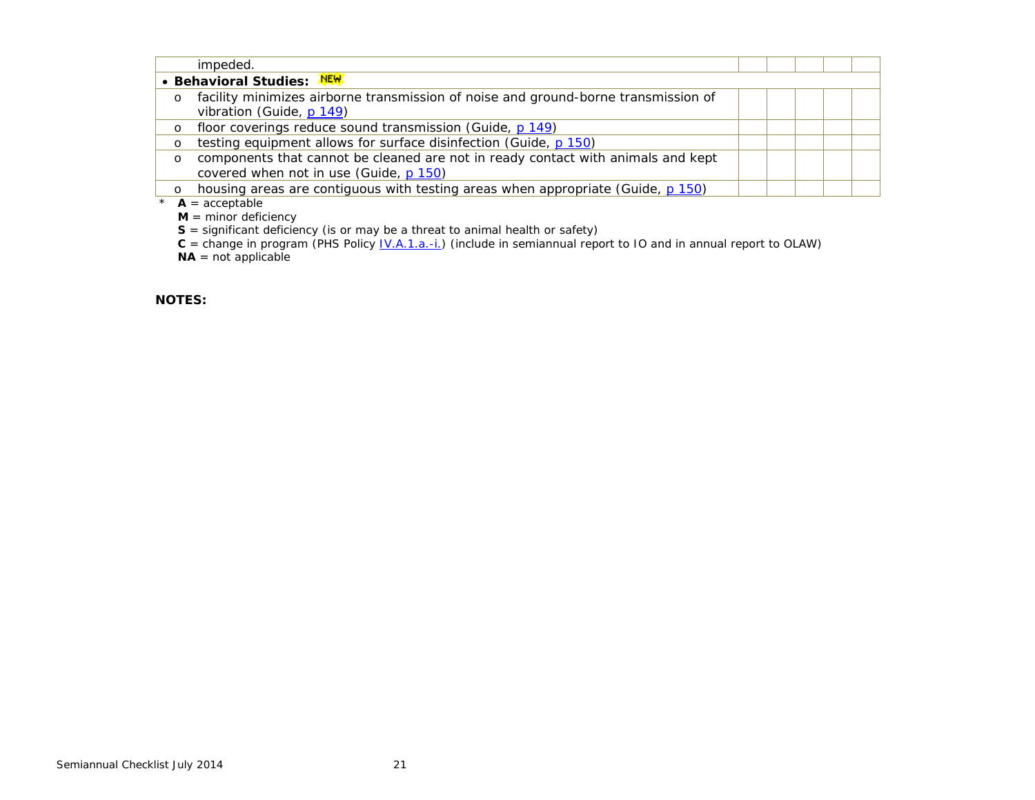|          | impeded.                                                                           |  |  |  |  |  |  |  |
|----------|------------------------------------------------------------------------------------|--|--|--|--|--|--|--|
|          | • Behavioral Studies: NEW                                                          |  |  |  |  |  |  |  |
| $\circ$  | facility minimizes airborne transmission of noise and ground-borne transmission of |  |  |  |  |  |  |  |
|          | vibration (Guide, p 149)                                                           |  |  |  |  |  |  |  |
| $\circ$  | floor coverings reduce sound transmission (Guide, p 149)                           |  |  |  |  |  |  |  |
| O        | testing equipment allows for surface disinfection (Guide, p 150)                   |  |  |  |  |  |  |  |
| $\circ$  | components that cannot be cleaned are not in ready contact with animals and kept   |  |  |  |  |  |  |  |
|          | covered when not in use (Guide, p 150)                                             |  |  |  |  |  |  |  |
| $\Omega$ | housing areas are contiguous with testing areas when appropriate (Guide, p 150)    |  |  |  |  |  |  |  |
|          | الملحقة والمستحدث المتلا                                                           |  |  |  |  |  |  |  |

 $*$  **A** = acceptable

 $M =$  minor deficiency

**S** = significant deficiency (is or may be a threat to animal health or safety)

**C** = change in program (PHS Policy [IV.A.1.a.-i.\)](http://grants.nih.gov/grants/olaw/references/phspol.htm#AnimalWelfareAssurance) (include in semiannual report to IO and in annual report to OLAW)

**NA** = not applicable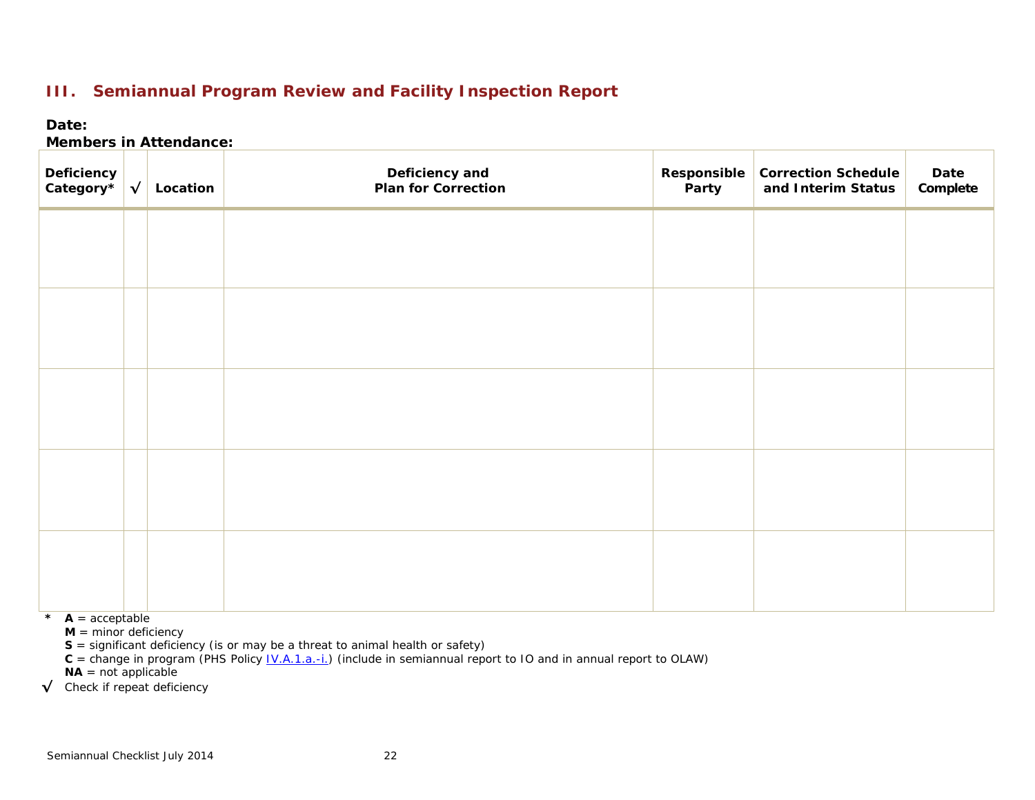## **III. Semiannual Program Review and Facility Inspection Report**

### **Date:**

### **Members in Attendance:**

| Deficiency<br>Category* $\left \sqrt{\right }$ | Location | Deficiency and<br>Plan for Correction | Party | Responsible Correction Schedule<br>and Interim Status | Date<br>Complete |
|------------------------------------------------|----------|---------------------------------------|-------|-------------------------------------------------------|------------------|
|                                                |          |                                       |       |                                                       |                  |
|                                                |          |                                       |       |                                                       |                  |
|                                                |          |                                       |       |                                                       |                  |
|                                                |          |                                       |       |                                                       |                  |
|                                                |          |                                       |       |                                                       |                  |
|                                                |          |                                       |       |                                                       |                  |
|                                                |          |                                       |       |                                                       |                  |
|                                                |          |                                       |       |                                                       |                  |
|                                                |          |                                       |       |                                                       |                  |
|                                                |          |                                       |       |                                                       |                  |

 $\star$  **A** = acceptable

 $M =$  minor deficiency

**S** = significant deficiency (is or may be a threat to animal health or safety)

 $C =$  change in program (PHS Policy <u>IV.A.1.a.-i.</u>) (include in semiannual report to IO and in annual report to OLAW)

 $NA = not applicable$ 

**√** Check if repeat deficiency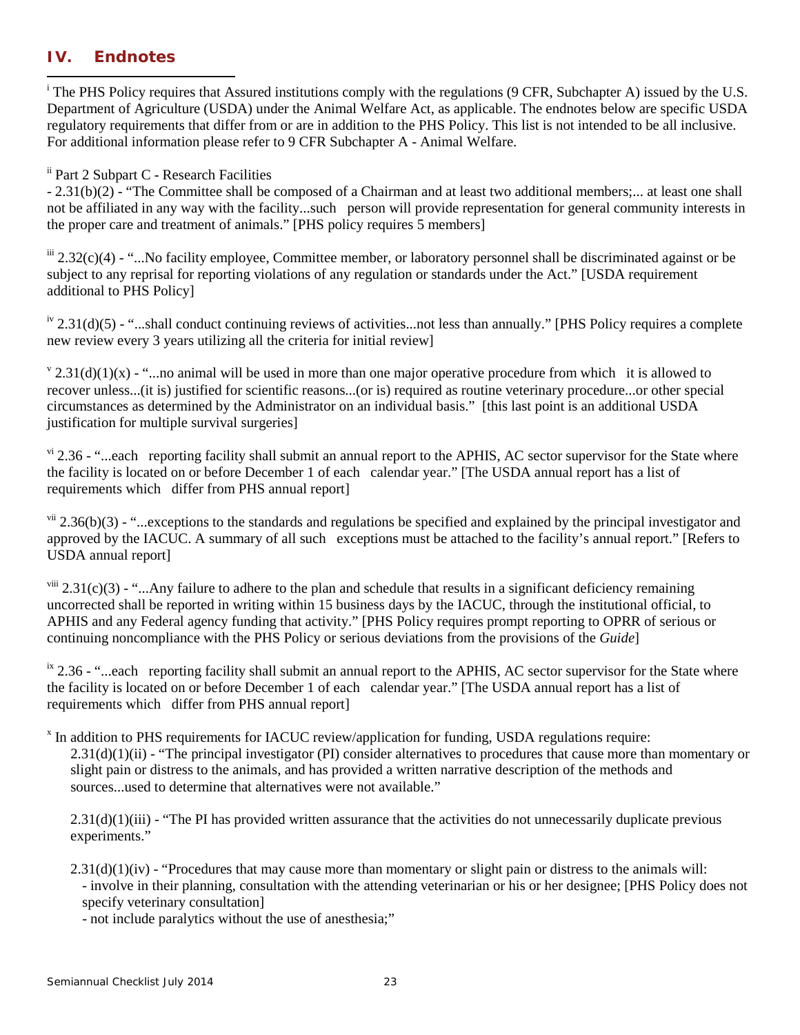### **IV. Endnotes**

 i <sup>i</sup> The PHS Policy requires that Assured institutions comply with the regulations (9 CFR, Subchapter A) issued by the U.S. Department of Agriculture (USDA) under the Animal Welfare Act, as applicable. The endnotes below are specific USDA regulatory requirements that differ from or are in addition to the PHS Policy. This list is not intended to be all inclusive. For additional information please refer to 9 CFR Subchapter A - Animal Welfare.

#### ii Part 2 Subpart C - Research Facilities

- 2.31(b)(2) - "The Committee shall be composed of a Chairman and at least two additional members;... at least one shall not be affiliated in any way with the facility...such person will provide representation for general community interests in the proper care and treatment of animals." [PHS policy requires 5 members]

 $\frac{1}{2}$  2.32(c)(4) - "...No facility employee, Committee member, or laboratory personnel shall be discriminated against or be subject to any reprisal for reporting violations of any regulation or standards under the Act." [USDA requirement additional to PHS Policy]

 $\mu$ <sup>iv</sup> 2.31(d)(5) - "...shall conduct continuing reviews of activities...not less than annually." [PHS Policy requires a complete new review every 3 years utilizing all the criteria for initial review]

 $\sqrt{2.31(d)(1)(x)}$  - "...no animal will be used in more than one major operative procedure from which it is allowed to recover unless...(it is) justified for scientific reasons...(or is) required as routine veterinary procedure...or other special circumstances as determined by the Administrator on an individual basis." [this last point is an additional USDA justification for multiple survival surgeries]

 $v<sup>i</sup>$  2.36 - "...each reporting facility shall submit an annual report to the APHIS, AC sector supervisor for the State where the facility is located on or before December 1 of each calendar year." [The USDA annual report has a list of requirements which differ from PHS annual report]

 $v<sup>ii</sup> 2.36(b)(3)$  - "...exceptions to the standards and regulations be specified and explained by the principal investigator and approved by the IACUC. A summary of all such exceptions must be attached to the facility's annual report." [Refers to USDA annual report]

 $v^{iii}$  2.31(c)(3) - "...Any failure to adhere to the plan and schedule that results in a significant deficiency remaining uncorrected shall be reported in writing within 15 business days by the IACUC, through the institutional official, to APHIS and any Federal agency funding that activity." [PHS Policy requires prompt reporting to OPRR of serious or continuing noncompliance with the PHS Policy or serious deviations from the provisions of the *Guide*]

 $\frac{1}{10}$  and  $\frac{1}{20}$ .  $\frac{1}{20}$  and  $\frac{1}{20}$  small submit an annual report to the APHIS, AC sector supervisor for the State where the facility is located on or before December 1 of each calendar year." [The USDA annual report has a list of requirements which differ from PHS annual report]

<sup>x</sup> In addition to PHS requirements for IACUC review/application for funding, USDA regulations require:  $2.31(d)(1)(ii)$  - "The principal investigator (PI) consider alternatives to procedures that cause more than momentary or slight pain or distress to the animals, and has provided a written narrative description of the methods and sources...used to determine that alternatives were not available."

2.31(d)(1)(iii) - "The PI has provided written assurance that the activities do not unnecessarily duplicate previous experiments."

 $2.31(d)(1)(iv)$  - "Procedures that may cause more than momentary or slight pain or distress to the animals will: - involve in their planning, consultation with the attending veterinarian or his or her designee; [PHS Policy does not specify veterinary consultation]

- not include paralytics without the use of anesthesia;"